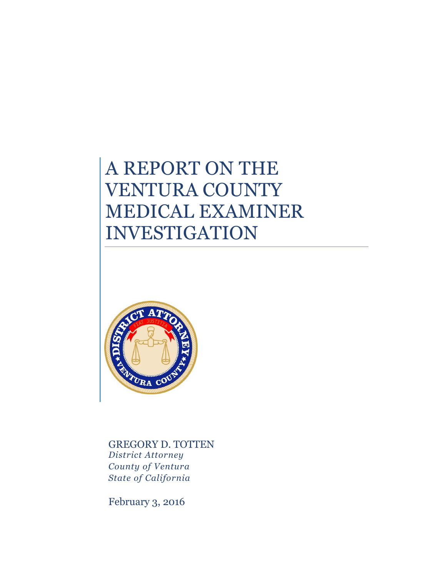# A REPORT ON THE VENTURA COUNTY MEDICAL EXAMINER INVESTIGATION



GREGORY D. TOTTEN *District Attorney County of Ventura State of California*

February 3, 2016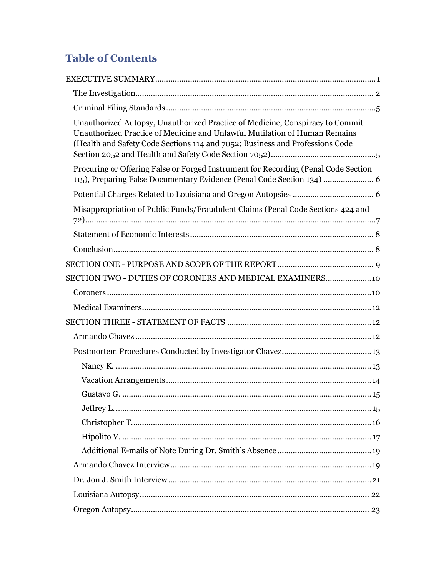# **Table of Contents**

| Unauthorized Autopsy, Unauthorized Practice of Medicine, Conspiracy to Commit<br>Unauthorized Practice of Medicine and Unlawful Mutilation of Human Remains<br>(Health and Safety Code Sections 114 and 7052; Business and Professions Code |
|---------------------------------------------------------------------------------------------------------------------------------------------------------------------------------------------------------------------------------------------|
| Procuring or Offering False or Forged Instrument for Recording (Penal Code Section<br>115), Preparing False Documentary Evidence (Penal Code Section 134)  6                                                                                |
|                                                                                                                                                                                                                                             |
| Misappropriation of Public Funds/Fraudulent Claims (Penal Code Sections 424 and                                                                                                                                                             |
|                                                                                                                                                                                                                                             |
|                                                                                                                                                                                                                                             |
|                                                                                                                                                                                                                                             |
| SECTION TWO - DUTIES OF CORONERS AND MEDICAL EXAMINERS 10                                                                                                                                                                                   |
|                                                                                                                                                                                                                                             |
|                                                                                                                                                                                                                                             |
|                                                                                                                                                                                                                                             |
|                                                                                                                                                                                                                                             |
|                                                                                                                                                                                                                                             |
|                                                                                                                                                                                                                                             |
|                                                                                                                                                                                                                                             |
|                                                                                                                                                                                                                                             |
|                                                                                                                                                                                                                                             |
|                                                                                                                                                                                                                                             |
|                                                                                                                                                                                                                                             |
|                                                                                                                                                                                                                                             |
|                                                                                                                                                                                                                                             |
|                                                                                                                                                                                                                                             |
|                                                                                                                                                                                                                                             |
|                                                                                                                                                                                                                                             |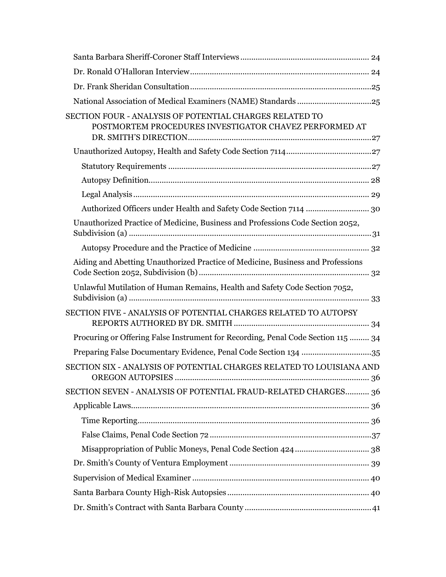| <b>SECTION FOUR - ANALYSIS OF POTENTIAL CHARGES RELATED TO</b><br>POSTMORTEM PROCEDURES INVESTIGATOR CHAVEZ PERFORMED AT |  |
|--------------------------------------------------------------------------------------------------------------------------|--|
|                                                                                                                          |  |
|                                                                                                                          |  |
|                                                                                                                          |  |
|                                                                                                                          |  |
|                                                                                                                          |  |
| Unauthorized Practice of Medicine, Business and Professions Code Section 2052,                                           |  |
|                                                                                                                          |  |
| Aiding and Abetting Unauthorized Practice of Medicine, Business and Professions                                          |  |
| Unlawful Mutilation of Human Remains, Health and Safety Code Section 7052,                                               |  |
| SECTION FIVE - ANALYSIS OF POTENTIAL CHARGES RELATED TO AUTOPSY                                                          |  |
| Procuring or Offering False Instrument for Recording, Penal Code Section 115  34                                         |  |
| Preparing False Documentary Evidence, Penal Code Section 134 35                                                          |  |
| SECTION SIX - ANALYSIS OF POTENTIAL CHARGES RELATED TO LOUISIANA AND                                                     |  |
| SECTION SEVEN - ANALYSIS OF POTENTIAL FRAUD-RELATED CHARGES 36                                                           |  |
|                                                                                                                          |  |
|                                                                                                                          |  |
|                                                                                                                          |  |
|                                                                                                                          |  |
|                                                                                                                          |  |
|                                                                                                                          |  |
|                                                                                                                          |  |
|                                                                                                                          |  |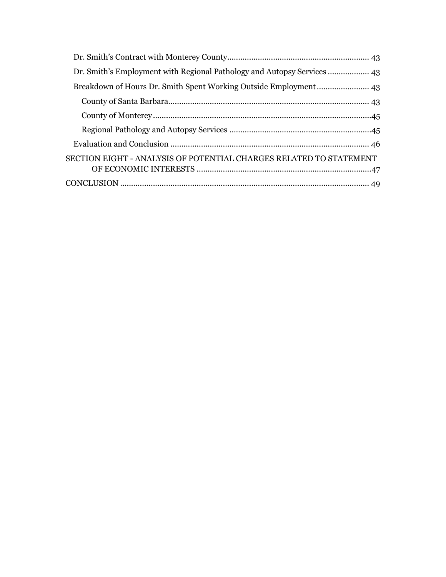| Dr. Smith's Employment with Regional Pathology and Autopsy Services 43 |  |
|------------------------------------------------------------------------|--|
|                                                                        |  |
|                                                                        |  |
|                                                                        |  |
|                                                                        |  |
|                                                                        |  |
| SECTION EIGHT - ANALYSIS OF POTENTIAL CHARGES RELATED TO STATEMENT     |  |
|                                                                        |  |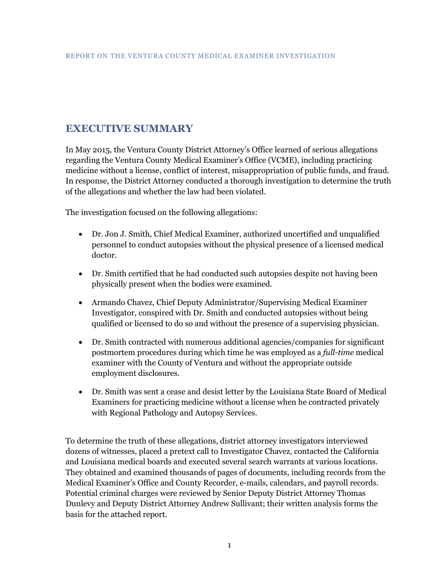# <span id="page-4-0"></span>**EXECUTIVE SUMMARY**

In May 2015, the Ventura County District Attorney's Office learned of serious allegations regarding the Ventura County Medical Examiner's Office (VCME), including practicing medicine without a license, conflict of interest, misappropriation of public funds, and fraud. In response, the District Attorney conducted a thorough investigation to determine the truth of the allegations and whether the law had been violated.

The investigation focused on the following allegations:

- Dr. Jon J. Smith, Chief Medical Examiner, authorized uncertified and unqualified personnel to conduct autopsies without the physical presence of a licensed medical doctor.
- Dr. Smith certified that he had conducted such autopsies despite not having been physically present when the bodies were examined.
- Armando Chavez, Chief Deputy Administrator/Supervising Medical Examiner Investigator, conspired with Dr. Smith and conducted autopsies without being qualified or licensed to do so and without the presence of a supervising physician.
- Dr. Smith contracted with numerous additional agencies/companies for significant postmortem procedures during which time he was employed as a *full-time* medical examiner with the County of Ventura and without the appropriate outside employment disclosures.
- Dr. Smith was sent a cease and desist letter by the Louisiana State Board of Medical Examiners for practicing medicine without a license when he contracted privately with Regional Pathology and Autopsy Services.

To determine the truth of these allegations, district attorney investigators interviewed dozens of witnesses, placed a pretext call to Investigator Chavez, contacted the California and Louisiana medical boards and executed several search warrants at various locations. They obtained and examined thousands of pages of documents, including records from the Medical Examiner's Office and County Recorder, e-mails, calendars, and payroll records. Potential criminal charges were reviewed by Senior Deputy District Attorney Thomas Dunlevy and Deputy District Attorney Andrew Sullivant; their written analysis forms the basis for the attached report.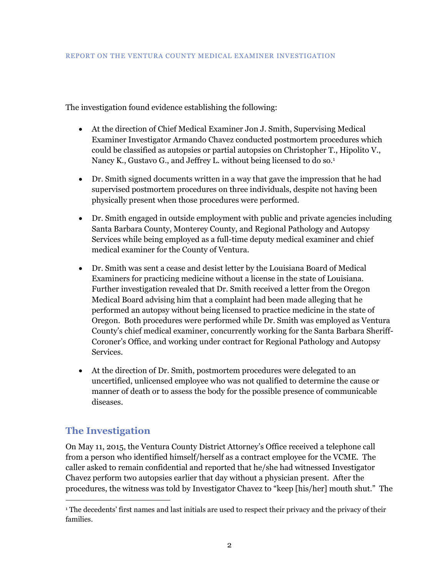The investigation found evidence establishing the following:

- At the direction of Chief Medical Examiner Jon J. Smith, Supervising Medical Examiner Investigator Armando Chavez conducted postmortem procedures which could be classified as autopsies or partial autopsies on Christopher T., Hipolito V., Nancy K., Gustavo G., and Jeffrey L. without being licensed to do so.<sup>1</sup>
- Dr. Smith signed documents written in a way that gave the impression that he had supervised postmortem procedures on three individuals, despite not having been physically present when those procedures were performed.
- Dr. Smith engaged in outside employment with public and private agencies including Santa Barbara County, Monterey County, and Regional Pathology and Autopsy Services while being employed as a full-time deputy medical examiner and chief medical examiner for the County of Ventura.
- Dr. Smith was sent a cease and desist letter by the Louisiana Board of Medical Examiners for practicing medicine without a license in the state of Louisiana. Further investigation revealed that Dr. Smith received a letter from the Oregon Medical Board advising him that a complaint had been made alleging that he performed an autopsy without being licensed to practice medicine in the state of Oregon. Both procedures were performed while Dr. Smith was employed as Ventura County's chief medical examiner, concurrently working for the Santa Barbara Sheriff-Coroner's Office, and working under contract for Regional Pathology and Autopsy Services.
- At the direction of Dr. Smith, postmortem procedures were delegated to an uncertified, unlicensed employee who was not qualified to determine the cause or manner of death or to assess the body for the possible presence of communicable diseases.

# <span id="page-5-0"></span>**The Investigation**

 $\overline{a}$ 

On May 11, 2015, the Ventura County District Attorney's Office received a telephone call from a person who identified himself/herself as a contract employee for the VCME. The caller asked to remain confidential and reported that he/she had witnessed Investigator Chavez perform two autopsies earlier that day without a physician present. After the procedures, the witness was told by Investigator Chavez to "keep [his/her] mouth shut." The

<sup>&</sup>lt;sup>1</sup> The decedents' first names and last initials are used to respect their privacy and the privacy of their families.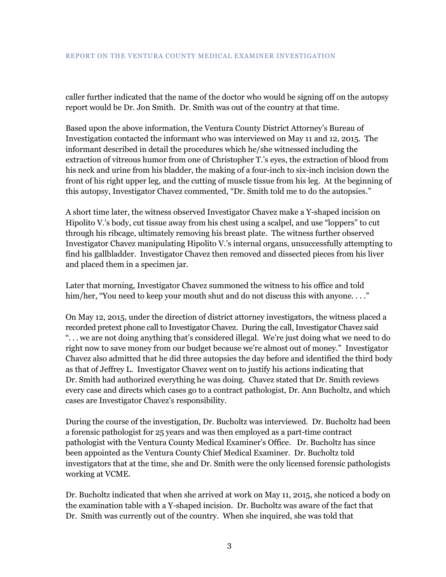caller further indicated that the name of the doctor who would be signing off on the autopsy report would be Dr. Jon Smith. Dr. Smith was out of the country at that time.

Based upon the above information, the Ventura County District Attorney's Bureau of Investigation contacted the informant who was interviewed on May 11 and 12, 2015. The informant described in detail the procedures which he/she witnessed including the extraction of vitreous humor from one of Christopher T.'s eyes, the extraction of blood from his neck and urine from his bladder, the making of a four-inch to six-inch incision down the front of his right upper leg, and the cutting of muscle tissue from his leg. At the beginning of this autopsy, Investigator Chavez commented, "Dr. Smith told me to do the autopsies."

A short time later, the witness observed Investigator Chavez make a Y-shaped incision on Hipolito V.'s body, cut tissue away from his chest using a scalpel, and use "loppers" to cut through his ribcage, ultimately removing his breast plate. The witness further observed Investigator Chavez manipulating Hipolito V.'s internal organs, unsuccessfully attempting to find his gallbladder. Investigator Chavez then removed and dissected pieces from his liver and placed them in a specimen jar.

Later that morning, Investigator Chavez summoned the witness to his office and told him/her, "You need to keep your mouth shut and do not discuss this with anyone...."

On May 12, 2015, under the direction of district attorney investigators, the witness placed a recorded pretext phone call to Investigator Chavez. During the call, Investigator Chavez said ". . . we are not doing anything that's considered illegal. We're just doing what we need to do right now to save money from our budget because we're almost out of money." Investigator Chavez also admitted that he did three autopsies the day before and identified the third body as that of Jeffrey L. Investigator Chavez went on to justify his actions indicating that Dr. Smith had authorized everything he was doing. Chavez stated that Dr. Smith reviews every case and directs which cases go to a contract pathologist, Dr. Ann Bucholtz, and which cases are Investigator Chavez's responsibility.

During the course of the investigation, Dr. Bucholtz was interviewed. Dr. Bucholtz had been a forensic pathologist for 25 years and was then employed as a part-time contract pathologist with the Ventura County Medical Examiner's Office. Dr. Bucholtz has since been appointed as the Ventura County Chief Medical Examiner. Dr. Bucholtz told investigators that at the time, she and Dr. Smith were the only licensed forensic pathologists working at VCME.

Dr. Bucholtz indicated that when she arrived at work on May 11, 2015, she noticed a body on the examination table with a Y-shaped incision. Dr. Bucholtz was aware of the fact that Dr. Smith was currently out of the country. When she inquired, she was told that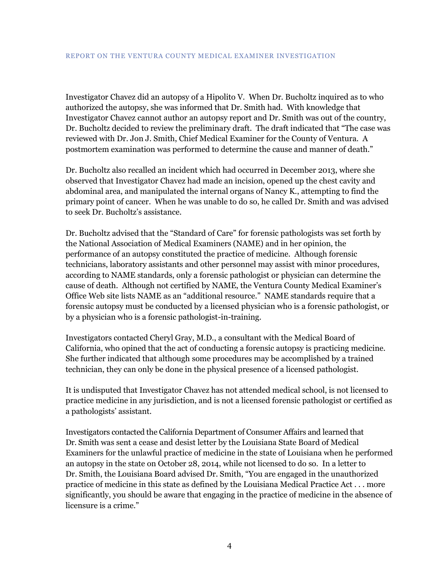Investigator Chavez did an autopsy of a Hipolito V. When Dr. Bucholtz inquired as to who authorized the autopsy, she was informed that Dr. Smith had. With knowledge that Investigator Chavez cannot author an autopsy report and Dr. Smith was out of the country, Dr. Bucholtz decided to review the preliminary draft. The draft indicated that "The case was reviewed with Dr. Jon J. Smith, Chief Medical Examiner for the County of Ventura. A postmortem examination was performed to determine the cause and manner of death."

Dr. Bucholtz also recalled an incident which had occurred in December 2013, where she observed that Investigator Chavez had made an incision, opened up the chest cavity and abdominal area, and manipulated the internal organs of Nancy K., attempting to find the primary point of cancer. When he was unable to do so, he called Dr. Smith and was advised to seek Dr. Bucholtz's assistance.

Dr. Bucholtz advised that the "Standard of Care" for forensic pathologists was set forth by the National Association of Medical Examiners (NAME) and in her opinion, the performance of an autopsy constituted the practice of medicine. Although forensic technicians, laboratory assistants and other personnel may assist with minor procedures, according to NAME standards, only a forensic pathologist or physician can determine the cause of death. Although not certified by NAME, the Ventura County Medical Examiner's Office Web site lists NAME as an "additional resource." NAME standards require that a forensic autopsy must be conducted by a licensed physician who is a forensic pathologist, or by a physician who is a forensic pathologist-in-training.

Investigators contacted Cheryl Gray, M.D., a consultant with the Medical Board of California, who opined that the act of conducting a forensic autopsy is practicing medicine. She further indicated that although some procedures may be accomplished by a trained technician, they can only be done in the physical presence of a licensed pathologist.

It is undisputed that Investigator Chavez has not attended medical school, is not licensed to practice medicine in any jurisdiction, and is not a licensed forensic pathologist or certified as a pathologists' assistant.

Investigators contacted the California Department of Consumer Affairs and learned that Dr. Smith was sent a cease and desist letter by the Louisiana State Board of Medical Examiners for the unlawful practice of medicine in the state of Louisiana when he performed an autopsy in the state on October 28, 2014, while not licensed to do so. In a letter to Dr. Smith, the Louisiana Board advised Dr. Smith, "You are engaged in the unauthorized practice of medicine in this state as defined by the Louisiana Medical Practice Act . . . more significantly, you should be aware that engaging in the practice of medicine in the absence of licensure is a crime."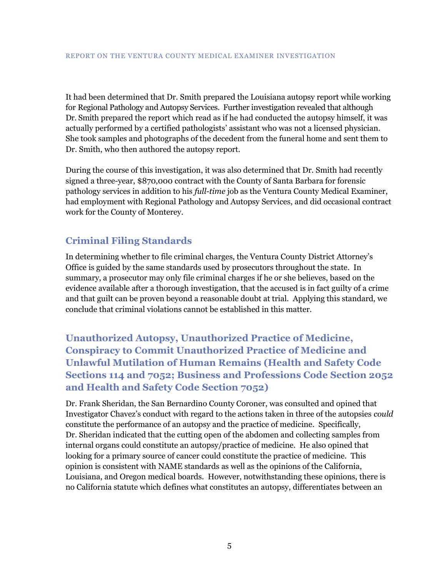It had been determined that Dr. Smith prepared the Louisiana autopsy report while working for Regional Pathology and Autopsy Services. Further investigation revealed that although Dr. Smith prepared the report which read as if he had conducted the autopsy himself, it was actually performed by a certified pathologists' assistant who was not a licensed physician. She took samples and photographs of the decedent from the funeral home and sent them to Dr. Smith, who then authored the autopsy report.

During the course of this investigation, it was also determined that Dr. Smith had recently signed a three-year, \$870,000 contract with the County of Santa Barbara for forensic pathology services in addition to his *full-time* job as the Ventura County Medical Examiner, had employment with Regional Pathology and Autopsy Services, and did occasional contract work for the County of Monterey.

# <span id="page-8-0"></span>**Criminal Filing Standards**

In determining whether to file criminal charges, the Ventura County District Attorney's Office is guided by the same standards used by prosecutors throughout the state. In summary, a prosecutor may only file criminal charges if he or she believes, based on the evidence available after a thorough investigation, that the accused is in fact guilty of a crime and that guilt can be proven beyond a reasonable doubt at trial. Applying this standard, we conclude that criminal violations cannot be established in this matter.

<span id="page-8-1"></span>**Unauthorized Autopsy, Unauthorized Practice of Medicine, Conspiracy to Commit Unauthorized Practice of Medicine and Unlawful Mutilation of Human Remains (Health and Safety Code Sections 114 and 7052; Business and Professions Code Section 2052 and Health and Safety Code Section 7052)**

Dr. Frank Sheridan, the San Bernardino County Coroner, was consulted and opined that Investigator Chavez's conduct with regard to the actions taken in three of the autopsies *could* constitute the performance of an autopsy and the practice of medicine. Specifically, Dr. Sheridan indicated that the cutting open of the abdomen and collecting samples from internal organs could constitute an autopsy/practice of medicine. He also opined that looking for a primary source of cancer could constitute the practice of medicine. This opinion is consistent with NAME standards as well as the opinions of the California, Louisiana, and Oregon medical boards. However, notwithstanding these opinions, there is no California statute which defines what constitutes an autopsy, differentiates between an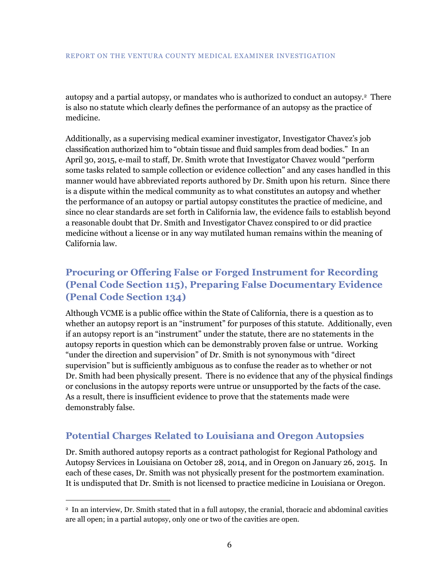autopsy and a partial autopsy, or mandates who is authorized to conduct an autopsy.<sup>2</sup> There is also no statute which clearly defines the performance of an autopsy as the practice of medicine.

Additionally, as a supervising medical examiner investigator, Investigator Chavez's job classification authorized him to "obtain tissue and fluid samples from dead bodies." In an April 30, 2015, e-mail to staff, Dr. Smith wrote that Investigator Chavez would "perform some tasks related to sample collection or evidence collection" and any cases handled in this manner would have abbreviated reports authored by Dr. Smith upon his return. Since there is a dispute within the medical community as to what constitutes an autopsy and whether the performance of an autopsy or partial autopsy constitutes the practice of medicine, and since no clear standards are set forth in California law, the evidence fails to establish beyond a reasonable doubt that Dr. Smith and Investigator Chavez conspired to or did practice medicine without a license or in any way mutilated human remains within the meaning of California law.

# <span id="page-9-0"></span>**Procuring or Offering False or Forged Instrument for Recording (Penal Code Section 115), Preparing False Documentary Evidence (Penal Code Section 134)**

Although VCME is a public office within the State of California, there is a question as to whether an autopsy report is an "instrument" for purposes of this statute. Additionally, even if an autopsy report is an "instrument" under the statute, there are no statements in the autopsy reports in question which can be demonstrably proven false or untrue. Working "under the direction and supervision" of Dr. Smith is not synonymous with "direct supervision" but is sufficiently ambiguous as to confuse the reader as to whether or not Dr. Smith had been physically present. There is no evidence that any of the physical findings or conclusions in the autopsy reports were untrue or unsupported by the facts of the case. As a result, there is insufficient evidence to prove that the statements made were demonstrably false.

# <span id="page-9-1"></span>**Potential Charges Related to Louisiana and Oregon Autopsies**

 $\overline{a}$ 

Dr. Smith authored autopsy reports as a contract pathologist for Regional Pathology and Autopsy Services in Louisiana on October 28, 2014, and in Oregon on January 26, 2015. In each of these cases, Dr. Smith was not physically present for the postmortem examination. It is undisputed that Dr. Smith is not licensed to practice medicine in Louisiana or Oregon.

<sup>2</sup> In an interview, Dr. Smith stated that in a full autopsy, the cranial, thoracic and abdominal cavities are all open; in a partial autopsy, only one or two of the cavities are open.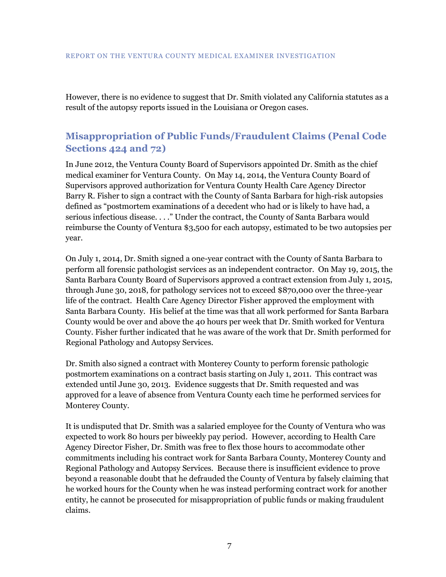However, there is no evidence to suggest that Dr. Smith violated any California statutes as a result of the autopsy reports issued in the Louisiana or Oregon cases.

# <span id="page-10-0"></span>**Misappropriation of Public Funds/Fraudulent Claims (Penal Code Sections 424 and 72)**

In June 2012, the Ventura County Board of Supervisors appointed Dr. Smith as the chief medical examiner for Ventura County. On May 14, 2014, the Ventura County Board of Supervisors approved authorization for Ventura County Health Care Agency Director Barry R. Fisher to sign a contract with the County of Santa Barbara for high-risk autopsies defined as "postmortem examinations of a decedent who had or is likely to have had, a serious infectious disease. . . ." Under the contract, the County of Santa Barbara would reimburse the County of Ventura \$3,500 for each autopsy, estimated to be two autopsies per year.

On July 1, 2014, Dr. Smith signed a one-year contract with the County of Santa Barbara to perform all forensic pathologist services as an independent contractor. On May 19, 2015, the Santa Barbara County Board of Supervisors approved a contract extension from July 1, 2015, through June 30, 2018, for pathology services not to exceed \$870,000 over the three-year life of the contract. Health Care Agency Director Fisher approved the employment with Santa Barbara County. His belief at the time was that all work performed for Santa Barbara County would be over and above the 40 hours per week that Dr. Smith worked for Ventura County. Fisher further indicated that he was aware of the work that Dr. Smith performed for Regional Pathology and Autopsy Services.

Dr. Smith also signed a contract with Monterey County to perform forensic pathologic postmortem examinations on a contract basis starting on July 1, 2011. This contract was extended until June 30, 2013. Evidence suggests that Dr. Smith requested and was approved for a leave of absence from Ventura County each time he performed services for Monterey County.

It is undisputed that Dr. Smith was a salaried employee for the County of Ventura who was expected to work 80 hours per biweekly pay period. However, according to Health Care Agency Director Fisher, Dr. Smith was free to flex those hours to accommodate other commitments including his contract work for Santa Barbara County, Monterey County and Regional Pathology and Autopsy Services. Because there is insufficient evidence to prove beyond a reasonable doubt that he defrauded the County of Ventura by falsely claiming that he worked hours for the County when he was instead performing contract work for another entity, he cannot be prosecuted for misappropriation of public funds or making fraudulent claims.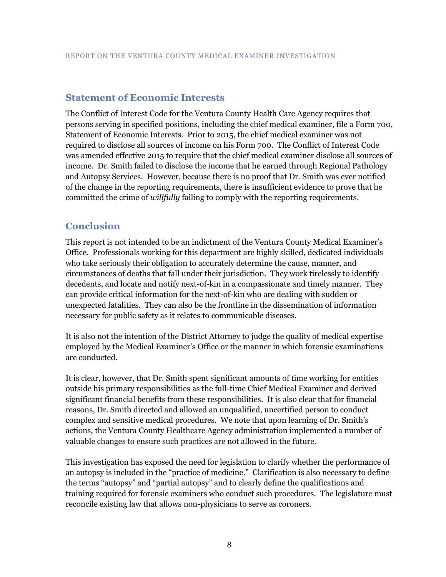### <span id="page-11-0"></span>**Statement of Economic Interests**

The Conflict of Interest Code for the Ventura County Health Care Agency requires that persons serving in specified positions, including the chief medical examiner, file a Form 700, Statement of Economic Interests. Prior to 2015, the chief medical examiner was not required to disclose all sources of income on his Form 700. The Conflict of Interest Code was amended effective 2015 to require that the chief medical examiner disclose all sources of income. Dr. Smith failed to disclose the income that he earned through Regional Pathology and Autopsy Services. However, because there is no proof that Dr. Smith was ever notified of the change in the reporting requirements, there is insufficient evidence to prove that he committed the crime of *willfully* failing to comply with the reporting requirements.

### <span id="page-11-1"></span>**Conclusion**

This report is not intended to be an indictment of the Ventura County Medical Examiner's Office. Professionals working for this department are highly skilled, dedicated individuals who take seriously their obligation to accurately determine the cause, manner, and circumstances of deaths that fall under their jurisdiction. They work tirelessly to identify decedents, and locate and notify next-of-kin in a compassionate and timely manner. They can provide critical information for the next-of-kin who are dealing with sudden or unexpected fatalities. They can also be the frontline in the dissemination of information necessary for public safety as it relates to communicable diseases.

It is also not the intention of the District Attorney to judge the quality of medical expertise employed by the Medical Examiner's Office or the manner in which forensic examinations are conducted.

It is clear, however, that Dr. Smith spent significant amounts of time working for entities outside his primary responsibilities as the full-time Chief Medical Examiner and derived significant financial benefits from these responsibilities. It is also clear that for financial reasons, Dr. Smith directed and allowed an unqualified, uncertified person to conduct complex and sensitive medical procedures. We note that upon learning of Dr. Smith's actions, the Ventura County Healthcare Agency administration implemented a number of valuable changes to ensure such practices are not allowed in the future.

This investigation has exposed the need for legislation to clarify whether the performance of an autopsy is included in the "practice of medicine." Clarification is also necessary to define the terms "autopsy" and "partial autopsy" and to clearly define the qualifications and training required for forensic examiners who conduct such procedures. The legislature must reconcile existing law that allows non-physicians to serve as coroners.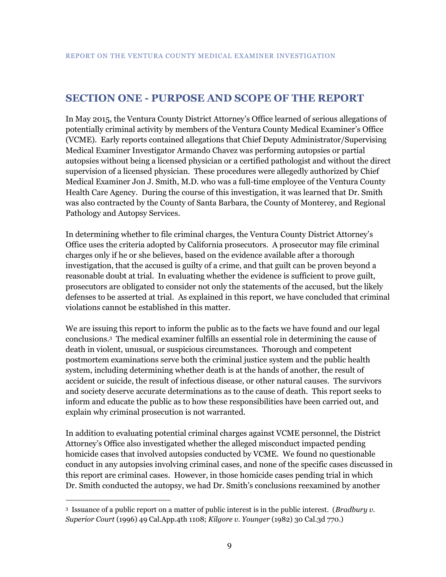# <span id="page-12-0"></span>**SECTION ONE - PURPOSE AND SCOPE OF THE REPORT**

In May 2015, the Ventura County District Attorney's Office learned of serious allegations of potentially criminal activity by members of the Ventura County Medical Examiner's Office (VCME). Early reports contained allegations that Chief Deputy Administrator/Supervising Medical Examiner Investigator Armando Chavez was performing autopsies or partial autopsies without being a licensed physician or a certified pathologist and without the direct supervision of a licensed physician. These procedures were allegedly authorized by Chief Medical Examiner Jon J. Smith, M.D. who was a full-time employee of the Ventura County Health Care Agency. During the course of this investigation, it was learned that Dr. Smith was also contracted by the County of Santa Barbara, the County of Monterey, and Regional Pathology and Autopsy Services.

In determining whether to file criminal charges, the Ventura County District Attorney's Office uses the criteria adopted by California prosecutors. A prosecutor may file criminal charges only if he or she believes, based on the evidence available after a thorough investigation, that the accused is guilty of a crime, and that guilt can be proven beyond a reasonable doubt at trial. In evaluating whether the evidence is sufficient to prove guilt, prosecutors are obligated to consider not only the statements of the accused, but the likely defenses to be asserted at trial. As explained in this report, we have concluded that criminal violations cannot be established in this matter.

We are issuing this report to inform the public as to the facts we have found and our legal conclusions.<sup>3</sup> The medical examiner fulfills an essential role in determining the cause of death in violent, unusual, or suspicious circumstances. Thorough and competent postmortem examinations serve both the criminal justice system and the public health system, including determining whether death is at the hands of another, the result of accident or suicide, the result of infectious disease, or other natural causes. The survivors and society deserve accurate determinations as to the cause of death. This report seeks to inform and educate the public as to how these responsibilities have been carried out, and explain why criminal prosecution is not warranted.

In addition to evaluating potential criminal charges against VCME personnel, the District Attorney's Office also investigated whether the alleged misconduct impacted pending homicide cases that involved autopsies conducted by VCME. We found no questionable conduct in any autopsies involving criminal cases, and none of the specific cases discussed in this report are criminal cases. However, in those homicide cases pending trial in which Dr. Smith conducted the autopsy, we had Dr. Smith's conclusions reexamined by another

 $\overline{a}$ 

<sup>3</sup> Issuance of a public report on a matter of public interest is in the public interest. (*Bradbury v. Superior Court* (1996) 49 Cal.App.4th 1108; *Kilgore v. Younger* (1982) 30 Cal.3d 770.)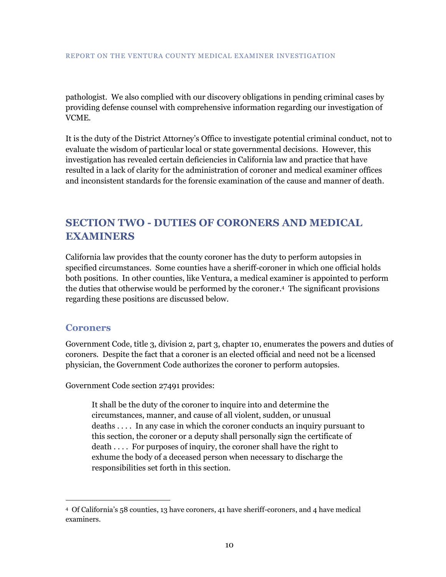pathologist. We also complied with our discovery obligations in pending criminal cases by providing defense counsel with comprehensive information regarding our investigation of VCME.

It is the duty of the District Attorney's Office to investigate potential criminal conduct, not to evaluate the wisdom of particular local or state governmental decisions. However, this investigation has revealed certain deficiencies in California law and practice that have resulted in a lack of clarity for the administration of coroner and medical examiner offices and inconsistent standards for the forensic examination of the cause and manner of death.

# <span id="page-13-0"></span>**SECTION TWO - DUTIES OF CORONERS AND MEDICAL EXAMINERS**

California law provides that the county coroner has the duty to perform autopsies in specified circumstances. Some counties have a sheriff-coroner in which one official holds both positions. In other counties, like Ventura, a medical examiner is appointed to perform the duties that otherwise would be performed by the coroner. 4 The significant provisions regarding these positions are discussed below.

#### <span id="page-13-1"></span>**Coroners**

 $\overline{a}$ 

Government Code, title 3, division 2, part 3, chapter 10, enumerates the powers and duties of coroners. Despite the fact that a coroner is an elected official and need not be a licensed physician, the Government Code authorizes the coroner to perform autopsies.

Government Code section 27491 provides:

It shall be the duty of the coroner to inquire into and determine the circumstances, manner, and cause of all violent, sudden, or unusual deaths . . . . In any case in which the coroner conducts an inquiry pursuant to this section, the coroner or a deputy shall personally sign the certificate of death . . . . For purposes of inquiry, the coroner shall have the right to exhume the body of a deceased person when necessary to discharge the responsibilities set forth in this section.

<sup>4</sup> Of California's 58 counties, 13 have coroners, 41 have sheriff-coroners, and 4 have medical examiners.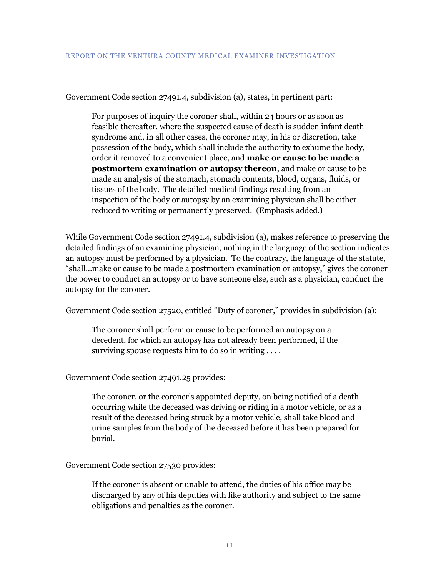Government Code section 27491.4, subdivision (a), states, in pertinent part:

For purposes of inquiry the coroner shall, within 24 hours or as soon as feasible thereafter, where the suspected cause of death is sudden infant death syndrome and, in all other cases, the coroner may, in his or discretion, take possession of the body, which shall include the authority to exhume the body, order it removed to a convenient place, and **make or cause to be made a postmortem examination or autopsy thereon**, and make or cause to be made an analysis of the stomach, stomach contents, blood, organs, fluids, or tissues of the body. The detailed medical findings resulting from an inspection of the body or autopsy by an examining physician shall be either reduced to writing or permanently preserved. (Emphasis added.)

While Government Code section 27491.4, subdivision (a), makes reference to preserving the detailed findings of an examining physician, nothing in the language of the section indicates an autopsy must be performed by a physician. To the contrary, the language of the statute, "shall…make or cause to be made a postmortem examination or autopsy," gives the coroner the power to conduct an autopsy or to have someone else, such as a physician, conduct the autopsy for the coroner.

Government Code section 27520, entitled "Duty of coroner," provides in subdivision (a):

The coroner shall perform or cause to be performed an autopsy on a decedent, for which an autopsy has not already been performed, if the surviving spouse requests him to do so in writing ....

Government Code section 27491.25 provides:

The coroner, or the coroner's appointed deputy, on being notified of a death occurring while the deceased was driving or riding in a motor vehicle, or as a result of the deceased being struck by a motor vehicle, shall take blood and urine samples from the body of the deceased before it has been prepared for burial.

#### Government Code section 27530 provides:

If the coroner is absent or unable to attend, the duties of his office may be discharged by any of his deputies with like authority and subject to the same obligations and penalties as the coroner.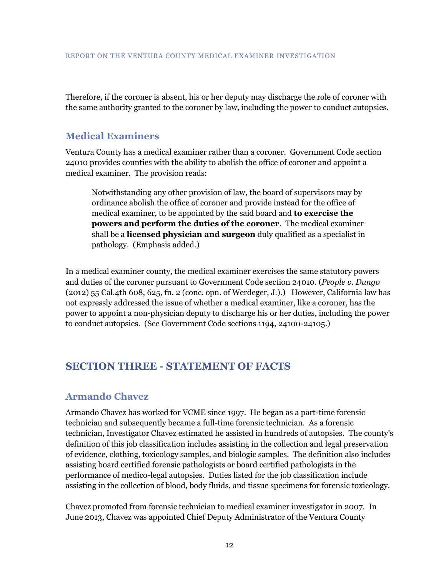Therefore, if the coroner is absent, his or her deputy may discharge the role of coroner with the same authority granted to the coroner by law, including the power to conduct autopsies.

### <span id="page-15-0"></span>**Medical Examiners**

Ventura County has a medical examiner rather than a coroner. Government Code section 24010 provides counties with the ability to abolish the office of coroner and appoint a medical examiner. The provision reads:

Notwithstanding any other provision of law, the board of supervisors may by ordinance abolish the office of coroner and provide instead for the office of medical examiner, to be appointed by the said board and **to exercise the powers and perform the duties of the coroner**. The medical examiner shall be a **licensed physician and surgeon** duly qualified as a specialist in pathology. (Emphasis added.)

In a medical examiner county, the medical examiner exercises the same statutory powers and duties of the coroner pursuant to Government Code section 24010. (*People v. Dungo* (2012) 55 Cal.4th 608, 625, fn. 2 (conc. opn. of Werdeger, J.).) However, California law has not expressly addressed the issue of whether a medical examiner, like a coroner, has the power to appoint a non-physician deputy to discharge his or her duties, including the power to conduct autopsies. (See Government Code sections 1194, 24100-24105.)

# <span id="page-15-1"></span>**SECTION THREE - STATEMENT OF FACTS**

### <span id="page-15-2"></span>**Armando Chavez**

Armando Chavez has worked for VCME since 1997. He began as a part-time forensic technician and subsequently became a full-time forensic technician. As a forensic technician, Investigator Chavez estimated he assisted in hundreds of autopsies. The county's definition of this job classification includes assisting in the collection and legal preservation of evidence, clothing, toxicology samples, and biologic samples. The definition also includes assisting board certified forensic pathologists or board certified pathologists in the performance of medico-legal autopsies. Duties listed for the job classification include assisting in the collection of blood, body fluids, and tissue specimens for forensic toxicology.

Chavez promoted from forensic technician to medical examiner investigator in 2007. In June 2013, Chavez was appointed Chief Deputy Administrator of the Ventura County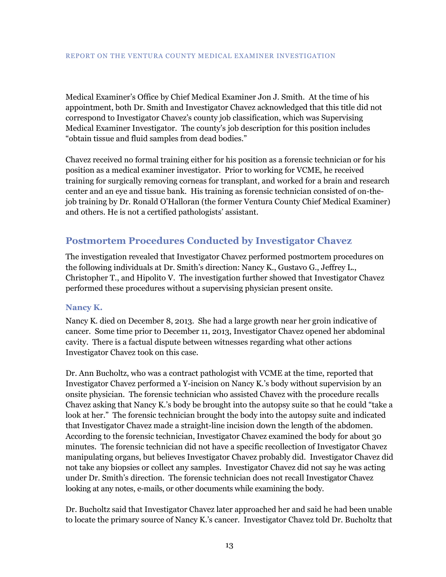Medical Examiner's Office by Chief Medical Examiner Jon J. Smith. At the time of his appointment, both Dr. Smith and Investigator Chavez acknowledged that this title did not correspond to Investigator Chavez's county job classification, which was Supervising Medical Examiner Investigator. The county's job description for this position includes "obtain tissue and fluid samples from dead bodies."

Chavez received no formal training either for his position as a forensic technician or for his position as a medical examiner investigator. Prior to working for VCME, he received training for surgically removing corneas for transplant, and worked for a brain and research center and an eye and tissue bank. His training as forensic technician consisted of on-thejob training by Dr. Ronald O'Halloran (the former Ventura County Chief Medical Examiner) and others. He is not a certified pathologists' assistant.

# <span id="page-16-0"></span>**Postmortem Procedures Conducted by Investigator Chavez**

The investigation revealed that Investigator Chavez performed postmortem procedures on the following individuals at Dr. Smith's direction: Nancy K., Gustavo G., Jeffrey L., Christopher T., and Hipolito V. The investigation further showed that Investigator Chavez performed these procedures without a supervising physician present onsite.

#### <span id="page-16-1"></span>**Nancy K.**

Nancy K. died on December 8, 2013. She had a large growth near her groin indicative of cancer. Some time prior to December 11, 2013, Investigator Chavez opened her abdominal cavity. There is a factual dispute between witnesses regarding what other actions Investigator Chavez took on this case.

Dr. Ann Bucholtz, who was a contract pathologist with VCME at the time, reported that Investigator Chavez performed a Y-incision on Nancy K.'s body without supervision by an onsite physician. The forensic technician who assisted Chavez with the procedure recalls Chavez asking that Nancy K.'s body be brought into the autopsy suite so that he could "take a look at her." The forensic technician brought the body into the autopsy suite and indicated that Investigator Chavez made a straight-line incision down the length of the abdomen. According to the forensic technician, Investigator Chavez examined the body for about 30 minutes. The forensic technician did not have a specific recollection of Investigator Chavez manipulating organs, but believes Investigator Chavez probably did. Investigator Chavez did not take any biopsies or collect any samples. Investigator Chavez did not say he was acting under Dr. Smith's direction. The forensic technician does not recall Investigator Chavez looking at any notes, e-mails, or other documents while examining the body.

Dr. Bucholtz said that Investigator Chavez later approached her and said he had been unable to locate the primary source of Nancy K.'s cancer. Investigator Chavez told Dr. Bucholtz that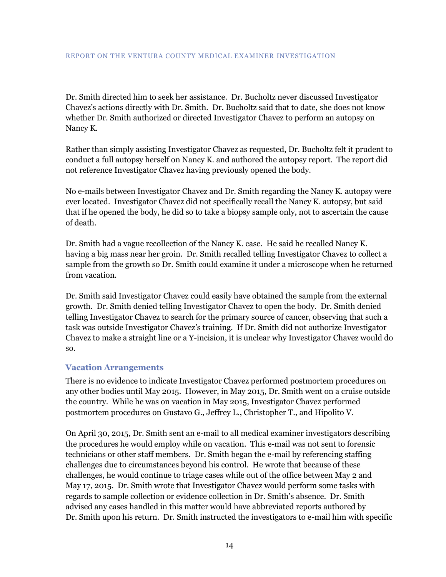Dr. Smith directed him to seek her assistance. Dr. Bucholtz never discussed Investigator Chavez's actions directly with Dr. Smith. Dr. Bucholtz said that to date, she does not know whether Dr. Smith authorized or directed Investigator Chavez to perform an autopsy on Nancy K.

Rather than simply assisting Investigator Chavez as requested, Dr. Bucholtz felt it prudent to conduct a full autopsy herself on Nancy K. and authored the autopsy report. The report did not reference Investigator Chavez having previously opened the body.

No e-mails between Investigator Chavez and Dr. Smith regarding the Nancy K. autopsy were ever located. Investigator Chavez did not specifically recall the Nancy K. autopsy, but said that if he opened the body, he did so to take a biopsy sample only, not to ascertain the cause of death.

Dr. Smith had a vague recollection of the Nancy K. case. He said he recalled Nancy K. having a big mass near her groin. Dr. Smith recalled telling Investigator Chavez to collect a sample from the growth so Dr. Smith could examine it under a microscope when he returned from vacation.

Dr. Smith said Investigator Chavez could easily have obtained the sample from the external growth. Dr. Smith denied telling Investigator Chavez to open the body. Dr. Smith denied telling Investigator Chavez to search for the primary source of cancer, observing that such a task was outside Investigator Chavez's training. If Dr. Smith did not authorize Investigator Chavez to make a straight line or a Y-incision, it is unclear why Investigator Chavez would do so.

#### <span id="page-17-0"></span>**Vacation Arrangements**

There is no evidence to indicate Investigator Chavez performed postmortem procedures on any other bodies until May 2015. However, in May 2015, Dr. Smith went on a cruise outside the country. While he was on vacation in May 2015, Investigator Chavez performed postmortem procedures on Gustavo G., Jeffrey L., Christopher T., and Hipolito V.

On April 30, 2015, Dr. Smith sent an e-mail to all medical examiner investigators describing the procedures he would employ while on vacation. This e-mail was not sent to forensic technicians or other staff members. Dr. Smith began the e-mail by referencing staffing challenges due to circumstances beyond his control. He wrote that because of these challenges, he would continue to triage cases while out of the office between May 2 and May 17, 2015. Dr. Smith wrote that Investigator Chavez would perform some tasks with regards to sample collection or evidence collection in Dr. Smith's absence. Dr. Smith advised any cases handled in this matter would have abbreviated reports authored by Dr. Smith upon his return. Dr. Smith instructed the investigators to e-mail him with specific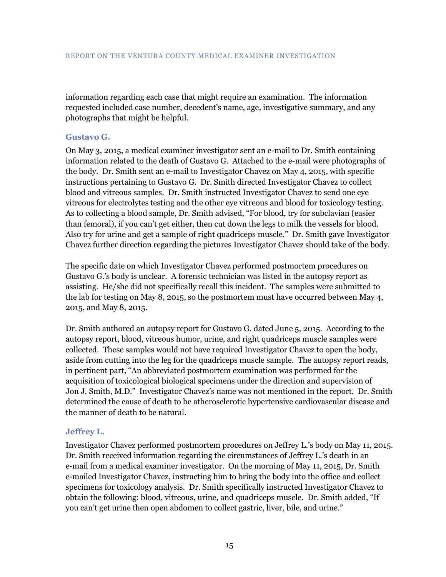information regarding each case that might require an examination. The information requested included case number, decedent's name, age, investigative summary, and any photographs that might be helpful.

#### <span id="page-18-0"></span>**Gustavo G.**

On May 3, 2015, a medical examiner investigator sent an e-mail to Dr. Smith containing information related to the death of Gustavo G. Attached to the e-mail were photographs of the body. Dr. Smith sent an e-mail to Investigator Chavez on May 4, 2015, with specific instructions pertaining to Gustavo G. Dr. Smith directed Investigator Chavez to collect blood and vitreous samples. Dr. Smith instructed Investigator Chavez to send one eye vitreous for electrolytes testing and the other eye vitreous and blood for toxicology testing. As to collecting a blood sample, Dr. Smith advised, "For blood, try for subclavian (easier than femoral), if you can't get either, then cut down the legs to milk the vessels for blood. Also try for urine and get a sample of right quadriceps muscle." Dr. Smith gave Investigator Chavez further direction regarding the pictures Investigator Chavez should take of the body.

The specific date on which Investigator Chavez performed postmortem procedures on Gustavo G.'s body is unclear. A forensic technician was listed in the autopsy report as assisting. He/she did not specifically recall this incident. The samples were submitted to the lab for testing on May 8, 2015, so the postmortem must have occurred between May 4, 2015, and May 8, 2015.

Dr. Smith authored an autopsy report for Gustavo G. dated June 5, 2015. According to the autopsy report, blood, vitreous humor, urine, and right quadriceps muscle samples were collected. These samples would not have required Investigator Chavez to open the body, aside from cutting into the leg for the quadriceps muscle sample. The autopsy report reads, in pertinent part, "An abbreviated postmortem examination was performed for the acquisition of toxicological biological specimens under the direction and supervision of Jon J. Smith, M.D." Investigator Chavez's name was not mentioned in the report. Dr. Smith determined the cause of death to be atherosclerotic hypertensive cardiovascular disease and the manner of death to be natural.

#### <span id="page-18-1"></span>**Jeffrey L.**

Investigator Chavez performed postmortem procedures on Jeffrey L.'s body on May 11, 2015. Dr. Smith received information regarding the circumstances of Jeffrey L.'s death in an e-mail from a medical examiner investigator. On the morning of May 11, 2015, Dr. Smith e-mailed Investigator Chavez, instructing him to bring the body into the office and collect specimens for toxicology analysis. Dr. Smith specifically instructed Investigator Chavez to obtain the following: blood, vitreous, urine, and quadriceps muscle. Dr. Smith added, "If you can't get urine then open abdomen to collect gastric, liver, bile, and urine."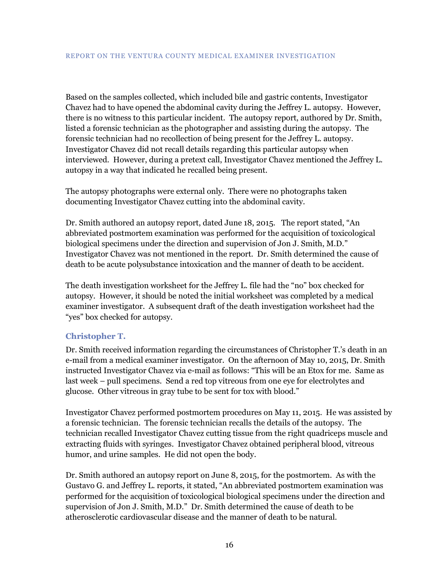Based on the samples collected, which included bile and gastric contents, Investigator Chavez had to have opened the abdominal cavity during the Jeffrey L. autopsy. However, there is no witness to this particular incident. The autopsy report, authored by Dr. Smith, listed a forensic technician as the photographer and assisting during the autopsy. The forensic technician had no recollection of being present for the Jeffrey L. autopsy. Investigator Chavez did not recall details regarding this particular autopsy when interviewed. However, during a pretext call, Investigator Chavez mentioned the Jeffrey L. autopsy in a way that indicated he recalled being present.

The autopsy photographs were external only. There were no photographs taken documenting Investigator Chavez cutting into the abdominal cavity.

Dr. Smith authored an autopsy report, dated June 18, 2015. The report stated, "An abbreviated postmortem examination was performed for the acquisition of toxicological biological specimens under the direction and supervision of Jon J. Smith, M.D." Investigator Chavez was not mentioned in the report. Dr. Smith determined the cause of death to be acute polysubstance intoxication and the manner of death to be accident.

The death investigation worksheet for the Jeffrey L. file had the "no" box checked for autopsy. However, it should be noted the initial worksheet was completed by a medical examiner investigator. A subsequent draft of the death investigation worksheet had the "yes" box checked for autopsy.

#### <span id="page-19-0"></span>**Christopher T.**

Dr. Smith received information regarding the circumstances of Christopher T.'s death in an e-mail from a medical examiner investigator. On the afternoon of May 10, 2015, Dr. Smith instructed Investigator Chavez via e-mail as follows: "This will be an Etox for me. Same as last week – pull specimens. Send a red top vitreous from one eye for electrolytes and glucose. Other vitreous in gray tube to be sent for tox with blood."

Investigator Chavez performed postmortem procedures on May 11, 2015. He was assisted by a forensic technician. The forensic technician recalls the details of the autopsy. The technician recalled Investigator Chavez cutting tissue from the right quadriceps muscle and extracting fluids with syringes. Investigator Chavez obtained peripheral blood, vitreous humor, and urine samples. He did not open the body.

Dr. Smith authored an autopsy report on June 8, 2015, for the postmortem. As with the Gustavo G. and Jeffrey L. reports, it stated, "An abbreviated postmortem examination was performed for the acquisition of toxicological biological specimens under the direction and supervision of Jon J. Smith, M.D." Dr. Smith determined the cause of death to be atherosclerotic cardiovascular disease and the manner of death to be natural.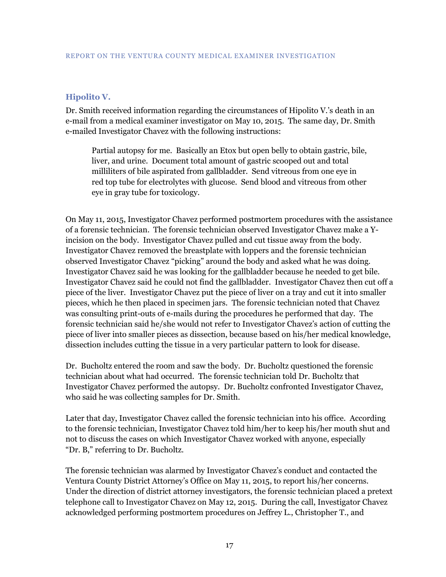#### <span id="page-20-0"></span>**Hipolito V.**

Dr. Smith received information regarding the circumstances of Hipolito V.'s death in an e-mail from a medical examiner investigator on May 10, 2015. The same day, Dr. Smith e-mailed Investigator Chavez with the following instructions:

Partial autopsy for me. Basically an Etox but open belly to obtain gastric, bile, liver, and urine. Document total amount of gastric scooped out and total milliliters of bile aspirated from gallbladder. Send vitreous from one eye in red top tube for electrolytes with glucose. Send blood and vitreous from other eye in gray tube for toxicology.

On May 11, 2015, Investigator Chavez performed postmortem procedures with the assistance of a forensic technician. The forensic technician observed Investigator Chavez make a Yincision on the body. Investigator Chavez pulled and cut tissue away from the body. Investigator Chavez removed the breastplate with loppers and the forensic technician observed Investigator Chavez "picking" around the body and asked what he was doing. Investigator Chavez said he was looking for the gallbladder because he needed to get bile. Investigator Chavez said he could not find the gallbladder. Investigator Chavez then cut off a piece of the liver. Investigator Chavez put the piece of liver on a tray and cut it into smaller pieces, which he then placed in specimen jars. The forensic technician noted that Chavez was consulting print-outs of e-mails during the procedures he performed that day. The forensic technician said he/she would not refer to Investigator Chavez's action of cutting the piece of liver into smaller pieces as dissection, because based on his/her medical knowledge, dissection includes cutting the tissue in a very particular pattern to look for disease.

Dr. Bucholtz entered the room and saw the body. Dr. Bucholtz questioned the forensic technician about what had occurred. The forensic technician told Dr. Bucholtz that Investigator Chavez performed the autopsy. Dr. Bucholtz confronted Investigator Chavez, who said he was collecting samples for Dr. Smith.

Later that day, Investigator Chavez called the forensic technician into his office. According to the forensic technician, Investigator Chavez told him/her to keep his/her mouth shut and not to discuss the cases on which Investigator Chavez worked with anyone, especially "Dr. B," referring to Dr. Bucholtz.

The forensic technician was alarmed by Investigator Chavez's conduct and contacted the Ventura County District Attorney's Office on May 11, 2015, to report his/her concerns. Under the direction of district attorney investigators, the forensic technician placed a pretext telephone call to Investigator Chavez on May 12, 2015. During the call, Investigator Chavez acknowledged performing postmortem procedures on Jeffrey L., Christopher T., and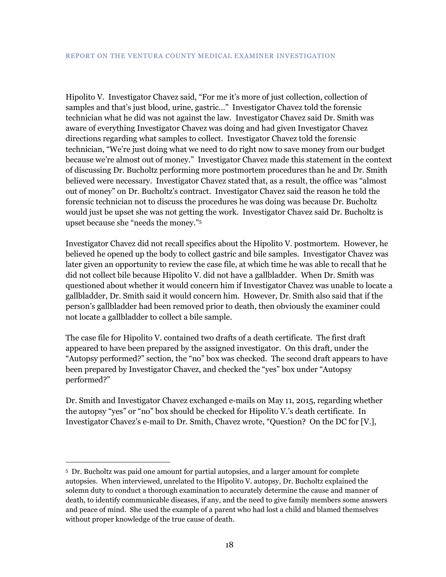Hipolito V. Investigator Chavez said, "For me it's more of just collection, collection of samples and that's just blood, urine, gastric…" Investigator Chavez told the forensic technician what he did was not against the law. Investigator Chavez said Dr. Smith was aware of everything Investigator Chavez was doing and had given Investigator Chavez directions regarding what samples to collect. Investigator Chavez told the forensic technician, "We're just doing what we need to do right now to save money from our budget because we're almost out of money." Investigator Chavez made this statement in the context of discussing Dr. Bucholtz performing more postmortem procedures than he and Dr. Smith believed were necessary. Investigator Chavez stated that, as a result, the office was "almost out of money" on Dr. Bucholtz's contract. Investigator Chavez said the reason he told the forensic technician not to discuss the procedures he was doing was because Dr. Bucholtz would just be upset she was not getting the work. Investigator Chavez said Dr. Bucholtz is upset because she "needs the money."<sup>5</sup>

Investigator Chavez did not recall specifics about the Hipolito V. postmortem. However, he believed he opened up the body to collect gastric and bile samples. Investigator Chavez was later given an opportunity to review the case file, at which time he was able to recall that he did not collect bile because Hipolito V. did not have a gallbladder. When Dr. Smith was questioned about whether it would concern him if Investigator Chavez was unable to locate a gallbladder, Dr. Smith said it would concern him. However, Dr. Smith also said that if the person's gallbladder had been removed prior to death, then obviously the examiner could not locate a gallbladder to collect a bile sample.

The case file for Hipolito V. contained two drafts of a death certificate. The first draft appeared to have been prepared by the assigned investigator. On this draft, under the "Autopsy performed?" section, the "no" box was checked. The second draft appears to have been prepared by Investigator Chavez, and checked the "yes" box under "Autopsy performed?"

Dr. Smith and Investigator Chavez exchanged e-mails on May 11, 2015, regarding whether the autopsy "yes" or "no" box should be checked for Hipolito V.'s death certificate. In Investigator Chavez's e-mail to Dr. Smith, Chavez wrote, "Question? On the DC for [V.],

 $\overline{a}$ 

<sup>5</sup> Dr. Bucholtz was paid one amount for partial autopsies, and a larger amount for complete autopsies. When interviewed, unrelated to the Hipolito V. autopsy, Dr. Bucholtz explained the solemn duty to conduct a thorough examination to accurately determine the cause and manner of death, to identify communicable diseases, if any, and the need to give family members some answers and peace of mind. She used the example of a parent who had lost a child and blamed themselves without proper knowledge of the true cause of death.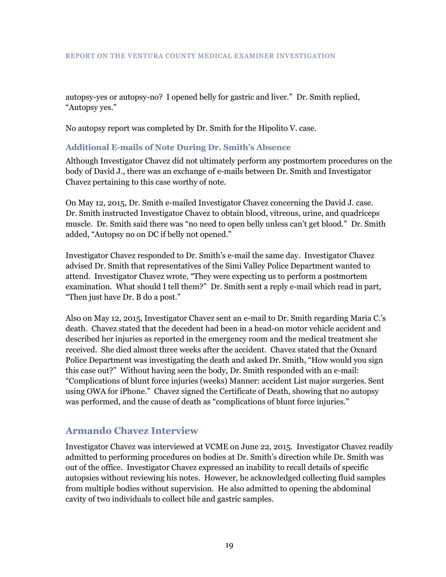autopsy-yes or autopsy-no? I opened belly for gastric and liver." Dr. Smith replied, "Autopsy yes."

No autopsy report was completed by Dr. Smith for the Hipolito V. case.

#### <span id="page-22-0"></span>**Additional E-mails of Note During Dr. Smith's Absence**

Although Investigator Chavez did not ultimately perform any postmortem procedures on the body of David J., there was an exchange of e-mails between Dr. Smith and Investigator Chavez pertaining to this case worthy of note.

On May 12, 2015, Dr. Smith e-mailed Investigator Chavez concerning the David J. case. Dr. Smith instructed Investigator Chavez to obtain blood, vitreous, urine, and quadriceps muscle. Dr. Smith said there was "no need to open belly unless can't get blood." Dr. Smith added, "Autopsy no on DC if belly not opened."

Investigator Chavez responded to Dr. Smith's e-mail the same day. Investigator Chavez advised Dr. Smith that representatives of the Simi Valley Police Department wanted to attend. Investigator Chavez wrote, "They were expecting us to perform a postmortem examination. What should I tell them?" Dr. Smith sent a reply e-mail which read in part, "Then just have Dr. B do a post."

Also on May 12, 2015, Investigator Chavez sent an e-mail to Dr. Smith regarding Maria C.'s death. Chavez stated that the decedent had been in a head-on motor vehicle accident and described her injuries as reported in the emergency room and the medical treatment she received. She died almost three weeks after the accident. Chavez stated that the Oxnard Police Department was investigating the death and asked Dr. Smith, "How would you sign this case out?" Without having seen the body, Dr. Smith responded with an e-mail: "Complications of blunt force injuries (weeks) Manner: accident List major surgeries. Sent using OWA for iPhone." Chavez signed the Certificate of Death, showing that no autopsy was performed, and the cause of death as "complications of blunt force injuries."

### <span id="page-22-1"></span>**Armando Chavez Interview**

Investigator Chavez was interviewed at VCME on June 22, 2015. Investigator Chavez readily admitted to performing procedures on bodies at Dr. Smith's direction while Dr. Smith was out of the office. Investigator Chavez expressed an inability to recall details of specific autopsies without reviewing his notes. However, he acknowledged collecting fluid samples from multiple bodies without supervision. He also admitted to opening the abdominal cavity of two individuals to collect bile and gastric samples.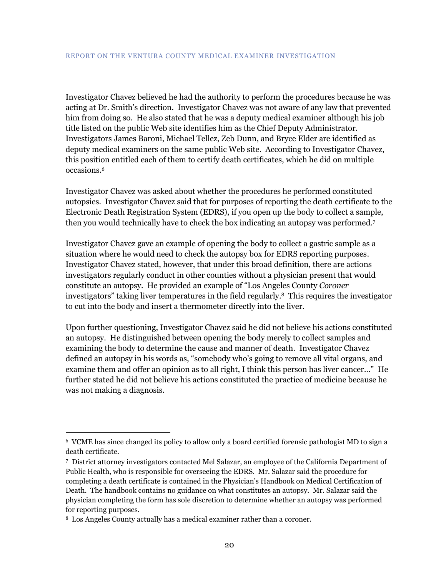Investigator Chavez believed he had the authority to perform the procedures because he was acting at Dr. Smith's direction. Investigator Chavez was not aware of any law that prevented him from doing so. He also stated that he was a deputy medical examiner although his job title listed on the public Web site identifies him as the Chief Deputy Administrator. Investigators James Baroni, Michael Tellez, Zeb Dunn, and Bryce Elder are identified as deputy medical examiners on the same public Web site. According to Investigator Chavez, this position entitled each of them to certify death certificates, which he did on multiple occasions.<sup>6</sup>

Investigator Chavez was asked about whether the procedures he performed constituted autopsies. Investigator Chavez said that for purposes of reporting the death certificate to the Electronic Death Registration System (EDRS), if you open up the body to collect a sample, then you would technically have to check the box indicating an autopsy was performed.<sup>7</sup>

Investigator Chavez gave an example of opening the body to collect a gastric sample as a situation where he would need to check the autopsy box for EDRS reporting purposes. Investigator Chavez stated, however, that under this broad definition, there are actions investigators regularly conduct in other counties without a physician present that would constitute an autopsy. He provided an example of "Los Angeles County *Coroner* investigators" taking liver temperatures in the field regularly.8 This requires the investigator to cut into the body and insert a thermometer directly into the liver.

Upon further questioning, Investigator Chavez said he did not believe his actions constituted an autopsy. He distinguished between opening the body merely to collect samples and examining the body to determine the cause and manner of death. Investigator Chavez defined an autopsy in his words as, "somebody who's going to remove all vital organs, and examine them and offer an opinion as to all right, I think this person has liver cancer…" He further stated he did not believe his actions constituted the practice of medicine because he was not making a diagnosis.

 $\overline{a}$ 

<sup>6</sup> VCME has since changed its policy to allow only a board certified forensic pathologist MD to sign a death certificate.

<sup>7</sup> District attorney investigators contacted Mel Salazar, an employee of the California Department of Public Health, who is responsible for overseeing the EDRS. Mr. Salazar said the procedure for completing a death certificate is contained in the Physician's Handbook on Medical Certification of Death. The handbook contains no guidance on what constitutes an autopsy. Mr. Salazar said the physician completing the form has sole discretion to determine whether an autopsy was performed for reporting purposes.

<sup>8</sup> Los Angeles County actually has a medical examiner rather than a coroner.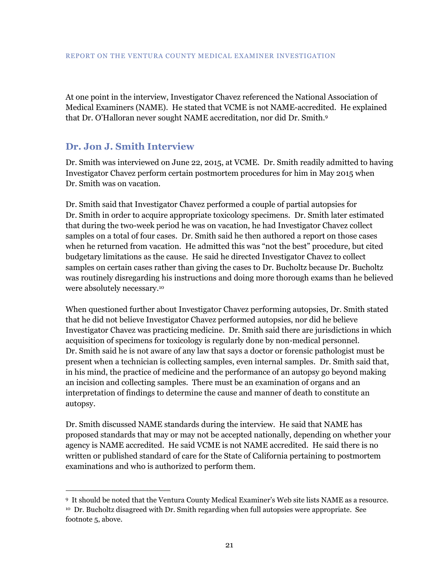At one point in the interview, Investigator Chavez referenced the National Association of Medical Examiners (NAME). He stated that VCME is not NAME-accredited. He explained that Dr. O'Halloran never sought NAME accreditation, nor did Dr. Smith.<sup>9</sup>

### <span id="page-24-0"></span>**Dr. Jon J. Smith Interview**

 $\overline{a}$ 

Dr. Smith was interviewed on June 22, 2015, at VCME. Dr. Smith readily admitted to having Investigator Chavez perform certain postmortem procedures for him in May 2015 when Dr. Smith was on vacation.

Dr. Smith said that Investigator Chavez performed a couple of partial autopsies for Dr. Smith in order to acquire appropriate toxicology specimens. Dr. Smith later estimated that during the two-week period he was on vacation, he had Investigator Chavez collect samples on a total of four cases. Dr. Smith said he then authored a report on those cases when he returned from vacation. He admitted this was "not the best" procedure, but cited budgetary limitations as the cause. He said he directed Investigator Chavez to collect samples on certain cases rather than giving the cases to Dr. Bucholtz because Dr. Bucholtz was routinely disregarding his instructions and doing more thorough exams than he believed were absolutely necessary.<sup>10</sup>

When questioned further about Investigator Chavez performing autopsies, Dr. Smith stated that he did not believe Investigator Chavez performed autopsies, nor did he believe Investigator Chavez was practicing medicine. Dr. Smith said there are jurisdictions in which acquisition of specimens for toxicology is regularly done by non-medical personnel. Dr. Smith said he is not aware of any law that says a doctor or forensic pathologist must be present when a technician is collecting samples, even internal samples. Dr. Smith said that, in his mind, the practice of medicine and the performance of an autopsy go beyond making an incision and collecting samples. There must be an examination of organs and an interpretation of findings to determine the cause and manner of death to constitute an autopsy.

Dr. Smith discussed NAME standards during the interview. He said that NAME has proposed standards that may or may not be accepted nationally, depending on whether your agency is NAME accredited. He said VCME is not NAME accredited. He said there is no written or published standard of care for the State of California pertaining to postmortem examinations and who is authorized to perform them.

<sup>9</sup> It should be noted that the Ventura County Medical Examiner's Web site lists NAME as a resource. <sup>10</sup> Dr. Bucholtz disagreed with Dr. Smith regarding when full autopsies were appropriate. See footnote 5, above.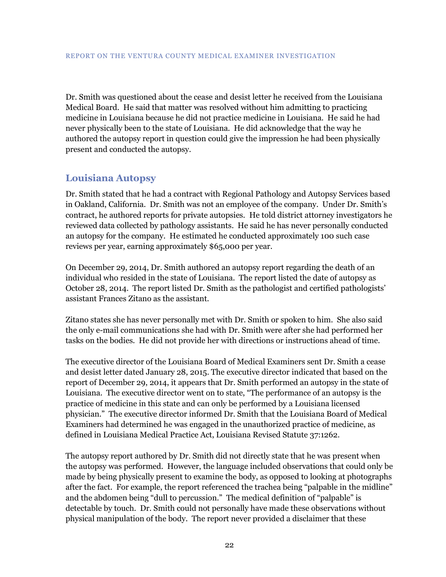Dr. Smith was questioned about the cease and desist letter he received from the Louisiana Medical Board. He said that matter was resolved without him admitting to practicing medicine in Louisiana because he did not practice medicine in Louisiana. He said he had never physically been to the state of Louisiana. He did acknowledge that the way he authored the autopsy report in question could give the impression he had been physically present and conducted the autopsy.

# <span id="page-25-0"></span>**Louisiana Autopsy**

Dr. Smith stated that he had a contract with Regional Pathology and Autopsy Services based in Oakland, California. Dr. Smith was not an employee of the company. Under Dr. Smith's contract, he authored reports for private autopsies. He told district attorney investigators he reviewed data collected by pathology assistants. He said he has never personally conducted an autopsy for the company. He estimated he conducted approximately 100 such case reviews per year, earning approximately \$65,000 per year.

On December 29, 2014, Dr. Smith authored an autopsy report regarding the death of an individual who resided in the state of Louisiana. The report listed the date of autopsy as October 28, 2014. The report listed Dr. Smith as the pathologist and certified pathologists' assistant Frances Zitano as the assistant.

Zitano states she has never personally met with Dr. Smith or spoken to him. She also said the only e-mail communications she had with Dr. Smith were after she had performed her tasks on the bodies. He did not provide her with directions or instructions ahead of time.

The executive director of the Louisiana Board of Medical Examiners sent Dr. Smith a cease and desist letter dated January 28, 2015. The executive director indicated that based on the report of December 29, 2014, it appears that Dr. Smith performed an autopsy in the state of Louisiana. The executive director went on to state, "The performance of an autopsy is the practice of medicine in this state and can only be performed by a Louisiana licensed physician." The executive director informed Dr. Smith that the Louisiana Board of Medical Examiners had determined he was engaged in the unauthorized practice of medicine, as defined in Louisiana Medical Practice Act, Louisiana Revised Statute 37:1262.

The autopsy report authored by Dr. Smith did not directly state that he was present when the autopsy was performed. However, the language included observations that could only be made by being physically present to examine the body, as opposed to looking at photographs after the fact. For example, the report referenced the trachea being "palpable in the midline" and the abdomen being "dull to percussion." The medical definition of "palpable" is detectable by touch. Dr. Smith could not personally have made these observations without physical manipulation of the body. The report never provided a disclaimer that these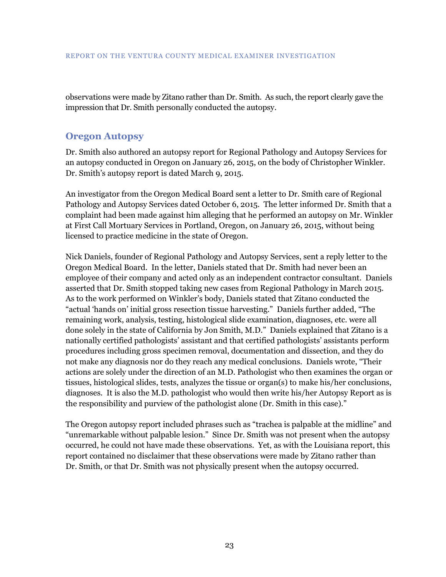observations were made by Zitano rather than Dr. Smith. As such, the report clearly gave the impression that Dr. Smith personally conducted the autopsy.

### <span id="page-26-0"></span>**Oregon Autopsy**

Dr. Smith also authored an autopsy report for Regional Pathology and Autopsy Services for an autopsy conducted in Oregon on January 26, 2015, on the body of Christopher Winkler. Dr. Smith's autopsy report is dated March 9, 2015.

An investigator from the Oregon Medical Board sent a letter to Dr. Smith care of Regional Pathology and Autopsy Services dated October 6, 2015. The letter informed Dr. Smith that a complaint had been made against him alleging that he performed an autopsy on Mr. Winkler at First Call Mortuary Services in Portland, Oregon, on January 26, 2015, without being licensed to practice medicine in the state of Oregon.

Nick Daniels, founder of Regional Pathology and Autopsy Services, sent a reply letter to the Oregon Medical Board. In the letter, Daniels stated that Dr. Smith had never been an employee of their company and acted only as an independent contractor consultant. Daniels asserted that Dr. Smith stopped taking new cases from Regional Pathology in March 2015. As to the work performed on Winkler's body, Daniels stated that Zitano conducted the "actual 'hands on' initial gross resection tissue harvesting." Daniels further added, "The remaining work, analysis, testing, histological slide examination, diagnoses, etc. were all done solely in the state of California by Jon Smith, M.D." Daniels explained that Zitano is a nationally certified pathologists' assistant and that certified pathologists' assistants perform procedures including gross specimen removal, documentation and dissection, and they do not make any diagnosis nor do they reach any medical conclusions. Daniels wrote, "Their actions are solely under the direction of an M.D. Pathologist who then examines the organ or tissues, histological slides, tests, analyzes the tissue or organ(s) to make his/her conclusions, diagnoses. It is also the M.D. pathologist who would then write his/her Autopsy Report as is the responsibility and purview of the pathologist alone (Dr. Smith in this case)."

The Oregon autopsy report included phrases such as "trachea is palpable at the midline" and "unremarkable without palpable lesion." Since Dr. Smith was not present when the autopsy occurred, he could not have made these observations. Yet, as with the Louisiana report, this report contained no disclaimer that these observations were made by Zitano rather than Dr. Smith, or that Dr. Smith was not physically present when the autopsy occurred.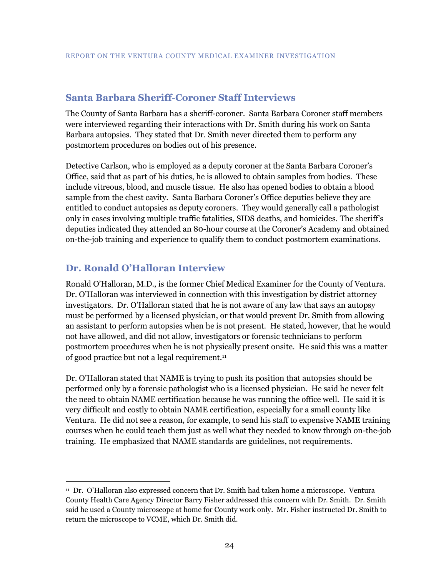#### <span id="page-27-0"></span>**Santa Barbara Sheriff-Coroner Staff Interviews**

The County of Santa Barbara has a sheriff-coroner. Santa Barbara Coroner staff members were interviewed regarding their interactions with Dr. Smith during his work on Santa Barbara autopsies. They stated that Dr. Smith never directed them to perform any postmortem procedures on bodies out of his presence.

Detective Carlson, who is employed as a deputy coroner at the Santa Barbara Coroner's Office, said that as part of his duties, he is allowed to obtain samples from bodies. These include vitreous, blood, and muscle tissue. He also has opened bodies to obtain a blood sample from the chest cavity. Santa Barbara Coroner's Office deputies believe they are entitled to conduct autopsies as deputy coroners. They would generally call a pathologist only in cases involving multiple traffic fatalities, SIDS deaths, and homicides. The sheriff's deputies indicated they attended an 80-hour course at the Coroner's Academy and obtained on-the-job training and experience to qualify them to conduct postmortem examinations.

### <span id="page-27-1"></span>**Dr. Ronald O'Halloran Interview**

 $\overline{a}$ 

Ronald O'Halloran, M.D., is the former Chief Medical Examiner for the County of Ventura. Dr. O'Halloran was interviewed in connection with this investigation by district attorney investigators. Dr. O'Halloran stated that he is not aware of any law that says an autopsy must be performed by a licensed physician, or that would prevent Dr. Smith from allowing an assistant to perform autopsies when he is not present. He stated, however, that he would not have allowed, and did not allow, investigators or forensic technicians to perform postmortem procedures when he is not physically present onsite. He said this was a matter of good practice but not a legal requirement.<sup>11</sup>

Dr. O'Halloran stated that NAME is trying to push its position that autopsies should be performed only by a forensic pathologist who is a licensed physician. He said he never felt the need to obtain NAME certification because he was running the office well. He said it is very difficult and costly to obtain NAME certification, especially for a small county like Ventura. He did not see a reason, for example, to send his staff to expensive NAME training courses when he could teach them just as well what they needed to know through on-the-job training. He emphasized that NAME standards are guidelines, not requirements.

<sup>11</sup> Dr. O'Halloran also expressed concern that Dr. Smith had taken home a microscope. Ventura County Health Care Agency Director Barry Fisher addressed this concern with Dr. Smith. Dr. Smith said he used a County microscope at home for County work only. Mr. Fisher instructed Dr. Smith to return the microscope to VCME, which Dr. Smith did.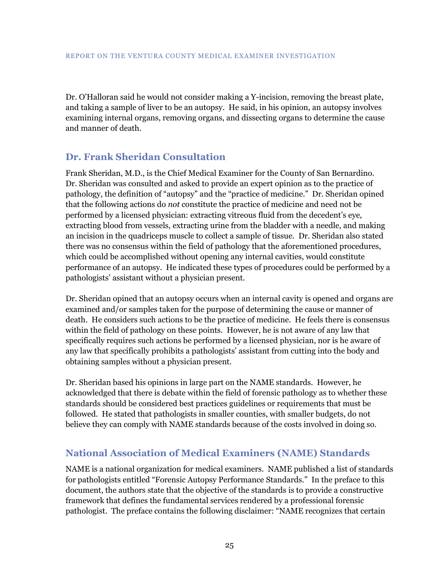Dr. O'Halloran said he would not consider making a Y-incision, removing the breast plate, and taking a sample of liver to be an autopsy. He said, in his opinion, an autopsy involves examining internal organs, removing organs, and dissecting organs to determine the cause and manner of death.

# <span id="page-28-0"></span>**Dr. Frank Sheridan Consultation**

Frank Sheridan, M.D., is the Chief Medical Examiner for the County of San Bernardino. Dr. Sheridan was consulted and asked to provide an expert opinion as to the practice of pathology, the definition of "autopsy" and the "practice of medicine." Dr. Sheridan opined that the following actions do *not* constitute the practice of medicine and need not be performed by a licensed physician: extracting vitreous fluid from the decedent's eye, extracting blood from vessels, extracting urine from the bladder with a needle, and making an incision in the quadriceps muscle to collect a sample of tissue. Dr. Sheridan also stated there was no consensus within the field of pathology that the aforementioned procedures, which could be accomplished without opening any internal cavities, would constitute performance of an autopsy. He indicated these types of procedures could be performed by a pathologists' assistant without a physician present.

Dr. Sheridan opined that an autopsy occurs when an internal cavity is opened and organs are examined and/or samples taken for the purpose of determining the cause or manner of death. He considers such actions to be the practice of medicine. He feels there is consensus within the field of pathology on these points. However, he is not aware of any law that specifically requires such actions be performed by a licensed physician, nor is he aware of any law that specifically prohibits a pathologists' assistant from cutting into the body and obtaining samples without a physician present.

Dr. Sheridan based his opinions in large part on the NAME standards. However, he acknowledged that there is debate within the field of forensic pathology as to whether these standards should be considered best practices guidelines or requirements that must be followed. He stated that pathologists in smaller counties, with smaller budgets, do not believe they can comply with NAME standards because of the costs involved in doing so.

### <span id="page-28-1"></span>**National Association of Medical Examiners (NAME) Standards**

NAME is a national organization for medical examiners. NAME published a list of standards for pathologists entitled "Forensic Autopsy Performance Standards." In the preface to this document, the authors state that the objective of the standards is to provide a constructive framework that defines the fundamental services rendered by a professional forensic pathologist. The preface contains the following disclaimer: "NAME recognizes that certain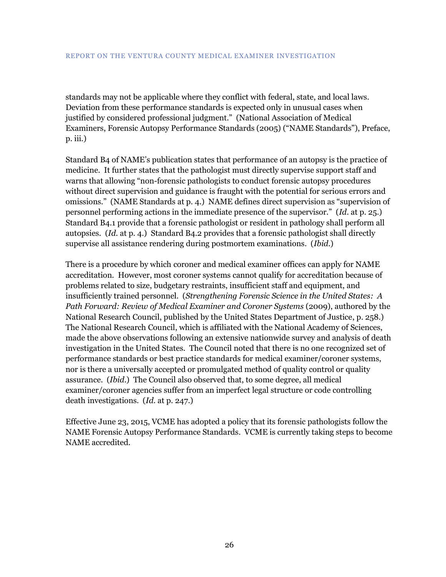standards may not be applicable where they conflict with federal, state, and local laws. Deviation from these performance standards is expected only in unusual cases when justified by considered professional judgment." (National Association of Medical Examiners, Forensic Autopsy Performance Standards (2005) ("NAME Standards"), Preface, p. iii.)

Standard B4 of NAME's publication states that performance of an autopsy is the practice of medicine. It further states that the pathologist must directly supervise support staff and warns that allowing "non-forensic pathologists to conduct forensic autopsy procedures without direct supervision and guidance is fraught with the potential for serious errors and omissions." (NAME Standards at p. 4.) NAME defines direct supervision as "supervision of personnel performing actions in the immediate presence of the supervisor." (*Id*. at p. 25.) Standard B4.1 provide that a forensic pathologist or resident in pathology shall perform all autopsies. (*Id*. at p. 4.) Standard B4.2 provides that a forensic pathologist shall directly supervise all assistance rendering during postmortem examinations. (*Ibid*.)

There is a procedure by which coroner and medical examiner offices can apply for NAME accreditation. However, most coroner systems cannot qualify for accreditation because of problems related to size, budgetary restraints, insufficient staff and equipment, and insufficiently trained personnel. (*Strengthening Forensic Science in the United States: A Path Forward: Review of Medical Examiner and Coroner Systems (2009), authored by the* National Research Council, published by the United States Department of Justice, p. 258.) The National Research Council, which is affiliated with the National Academy of Sciences, made the above observations following an extensive nationwide survey and analysis of death investigation in the United States. The Council noted that there is no one recognized set of performance standards or best practice standards for medical examiner/coroner systems, nor is there a universally accepted or promulgated method of quality control or quality assurance. (*Ibid*.) The Council also observed that, to some degree, all medical examiner/coroner agencies suffer from an imperfect legal structure or code controlling death investigations. (*Id*. at p. 247.)

Effective June 23, 2015, VCME has adopted a policy that its forensic pathologists follow the NAME Forensic Autopsy Performance Standards. VCME is currently taking steps to become NAME accredited.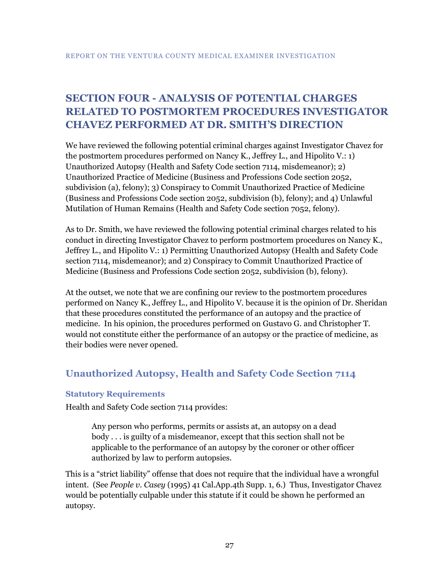# <span id="page-30-0"></span>**SECTION FOUR - ANALYSIS OF POTENTIAL CHARGES RELATED TO POSTMORTEM PROCEDURES INVESTIGATOR CHAVEZ PERFORMED AT DR. SMITH'S DIRECTION**

We have reviewed the following potential criminal charges against Investigator Chavez for the postmortem procedures performed on Nancy K., Jeffrey L., and Hipolito V.: 1) Unauthorized Autopsy (Health and Safety Code section 7114, misdemeanor); 2) Unauthorized Practice of Medicine (Business and Professions Code section 2052, subdivision (a), felony); 3) Conspiracy to Commit Unauthorized Practice of Medicine (Business and Professions Code section 2052, subdivision (b), felony); and 4) Unlawful Mutilation of Human Remains (Health and Safety Code section 7052, felony).

As to Dr. Smith, we have reviewed the following potential criminal charges related to his conduct in directing Investigator Chavez to perform postmortem procedures on Nancy K., Jeffrey L., and Hipolito V.: 1) Permitting Unauthorized Autopsy (Health and Safety Code section 7114, misdemeanor); and 2) Conspiracy to Commit Unauthorized Practice of Medicine (Business and Professions Code section 2052, subdivision (b), felony).

At the outset, we note that we are confining our review to the postmortem procedures performed on Nancy K., Jeffrey L., and Hipolito V. because it is the opinion of Dr. Sheridan that these procedures constituted the performance of an autopsy and the practice of medicine. In his opinion, the procedures performed on Gustavo G. and Christopher T. would not constitute either the performance of an autopsy or the practice of medicine, as their bodies were never opened.

# <span id="page-30-1"></span>**Unauthorized Autopsy, Health and Safety Code Section 7114**

#### <span id="page-30-2"></span>**Statutory Requirements**

Health and Safety Code section 7114 provides:

Any person who performs, permits or assists at, an autopsy on a dead body . . . is guilty of a misdemeanor, except that this section shall not be applicable to the performance of an autopsy by the coroner or other officer authorized by law to perform autopsies.

This is a "strict liability" offense that does not require that the individual have a wrongful intent. (See *People v. Casey* (1995) 41 Cal.App.4th Supp. 1, 6.) Thus, Investigator Chavez would be potentially culpable under this statute if it could be shown he performed an autopsy.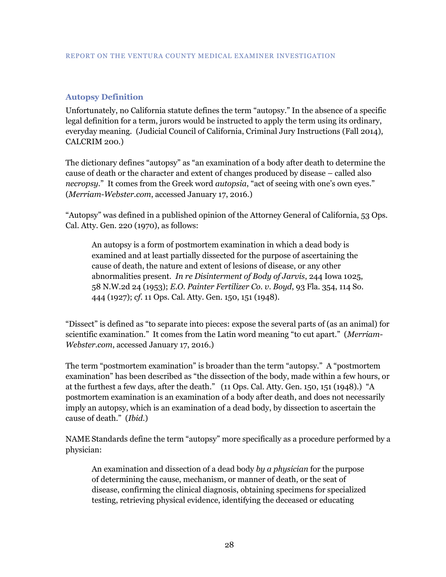#### <span id="page-31-0"></span>**Autopsy Definition**

Unfortunately, no California statute defines the term "autopsy." In the absence of a specific legal definition for a term, jurors would be instructed to apply the term using its ordinary, everyday meaning. (Judicial Council of California, Criminal Jury Instructions (Fall 2014), CALCRIM 200.)

The dictionary defines "autopsy" as "an examination of a body after death to determine the cause of death or the character and extent of changes produced by disease – called also *necropsy*." It comes from the Greek word *autopsia*, "act of seeing with one's own eyes." (*Merriam-Webster.com*, accessed January 17, 2016.)

"Autopsy" was defined in a published opinion of the Attorney General of California, 53 Ops. Cal. Atty. Gen. 220 (1970), as follows:

An autopsy is a form of postmortem examination in which a dead body is examined and at least partially dissected for the purpose of ascertaining the cause of death, the nature and extent of lesions of disease, or any other abnormalities present. *In re Disinterment of Body of Jarvis*, 244 Iowa 1025, 58 N.W.2d 24 (1953); *E.O. Painter Fertilizer Co. v. Boyd*, 93 Fla. 354, 114 So. 444 (1927); *cf*. 11 Ops. Cal. Atty. Gen. 150, 151 (1948).

"Dissect" is defined as "to separate into pieces: expose the several parts of (as an animal) for scientific examination." It comes from the Latin word meaning "to cut apart." (*Merriam-Webster.com*, accessed January 17, 2016.)

The term "postmortem examination" is broader than the term "autopsy." A "postmortem examination" has been described as "the dissection of the body, made within a few hours, or at the furthest a few days, after the death." (11 Ops. Cal. Atty. Gen. 150, 151 (1948).) "A postmortem examination is an examination of a body after death, and does not necessarily imply an autopsy, which is an examination of a dead body, by dissection to ascertain the cause of death." (*Ibid.*)

NAME Standards define the term "autopsy" more specifically as a procedure performed by a physician:

An examination and dissection of a dead body *by a physician* for the purpose of determining the cause, mechanism, or manner of death, or the seat of disease, confirming the clinical diagnosis, obtaining specimens for specialized testing, retrieving physical evidence, identifying the deceased or educating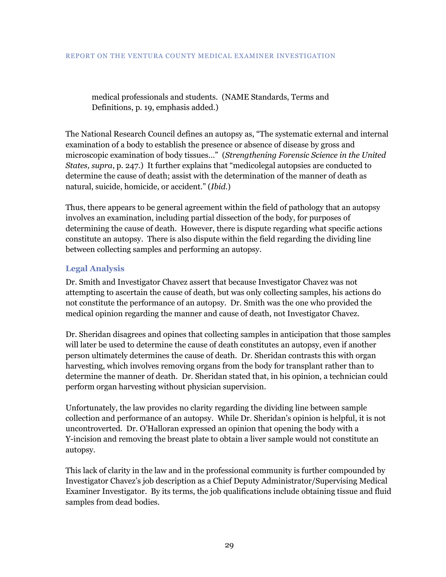medical professionals and students. (NAME Standards, Terms and Definitions, p. 19, emphasis added.)

The National Research Council defines an autopsy as, "The systematic external and internal examination of a body to establish the presence or absence of disease by gross and microscopic examination of body tissues…" (*Strengthening Forensic Science in the United States, supra*, p. 247.) It further explains that "medicolegal autopsies are conducted to determine the cause of death; assist with the determination of the manner of death as natural, suicide, homicide, or accident." (*Ibid.*)

Thus, there appears to be general agreement within the field of pathology that an autopsy involves an examination, including partial dissection of the body, for purposes of determining the cause of death. However, there is dispute regarding what specific actions constitute an autopsy. There is also dispute within the field regarding the dividing line between collecting samples and performing an autopsy.

### <span id="page-32-0"></span>**Legal Analysis**

Dr. Smith and Investigator Chavez assert that because Investigator Chavez was not attempting to ascertain the cause of death, but was only collecting samples, his actions do not constitute the performance of an autopsy. Dr. Smith was the one who provided the medical opinion regarding the manner and cause of death, not Investigator Chavez.

Dr. Sheridan disagrees and opines that collecting samples in anticipation that those samples will later be used to determine the cause of death constitutes an autopsy, even if another person ultimately determines the cause of death. Dr. Sheridan contrasts this with organ harvesting, which involves removing organs from the body for transplant rather than to determine the manner of death. Dr. Sheridan stated that, in his opinion, a technician could perform organ harvesting without physician supervision.

Unfortunately, the law provides no clarity regarding the dividing line between sample collection and performance of an autopsy. While Dr. Sheridan's opinion is helpful, it is not uncontroverted. Dr. O'Halloran expressed an opinion that opening the body with a Y-incision and removing the breast plate to obtain a liver sample would not constitute an autopsy.

This lack of clarity in the law and in the professional community is further compounded by Investigator Chavez's job description as a Chief Deputy Administrator/Supervising Medical Examiner Investigator. By its terms, the job qualifications include obtaining tissue and fluid samples from dead bodies.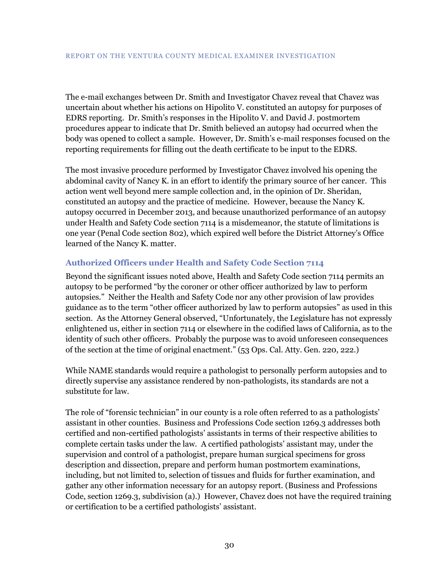The e-mail exchanges between Dr. Smith and Investigator Chavez reveal that Chavez was uncertain about whether his actions on Hipolito V. constituted an autopsy for purposes of EDRS reporting. Dr. Smith's responses in the Hipolito V. and David J. postmortem procedures appear to indicate that Dr. Smith believed an autopsy had occurred when the body was opened to collect a sample. However, Dr. Smith's e-mail responses focused on the reporting requirements for filling out the death certificate to be input to the EDRS.

The most invasive procedure performed by Investigator Chavez involved his opening the abdominal cavity of Nancy K. in an effort to identify the primary source of her cancer. This action went well beyond mere sample collection and, in the opinion of Dr. Sheridan, constituted an autopsy and the practice of medicine. However, because the Nancy K. autopsy occurred in December 2013, and because unauthorized performance of an autopsy under Health and Safety Code section 7114 is a misdemeanor, the statute of limitations is one year (Penal Code section 802), which expired well before the District Attorney's Office learned of the Nancy K. matter.

#### <span id="page-33-0"></span>**Authorized Officers under Health and Safety Code Section 7114**

Beyond the significant issues noted above, Health and Safety Code section 7114 permits an autopsy to be performed "by the coroner or other officer authorized by law to perform autopsies." Neither the Health and Safety Code nor any other provision of law provides guidance as to the term "other officer authorized by law to perform autopsies" as used in this section. As the Attorney General observed, "Unfortunately, the Legislature has not expressly enlightened us, either in section 7114 or elsewhere in the codified laws of California, as to the identity of such other officers. Probably the purpose was to avoid unforeseen consequences of the section at the time of original enactment." (53 Ops. Cal. Atty. Gen. 220, 222.)

While NAME standards would require a pathologist to personally perform autopsies and to directly supervise any assistance rendered by non-pathologists, its standards are not a substitute for law.

The role of "forensic technician" in our county is a role often referred to as a pathologists' assistant in other counties. Business and Professions Code section 1269.3 addresses both certified and non-certified pathologists' assistants in terms of their respective abilities to complete certain tasks under the law. A certified pathologists' assistant may, under the supervision and control of a pathologist, prepare human surgical specimens for gross description and dissection, prepare and perform human postmortem examinations, including, but not limited to, selection of tissues and fluids for further examination, and gather any other information necessary for an autopsy report. (Business and Professions Code, section 1269.3, subdivision (a).) However, Chavez does not have the required training or certification to be a certified pathologists' assistant.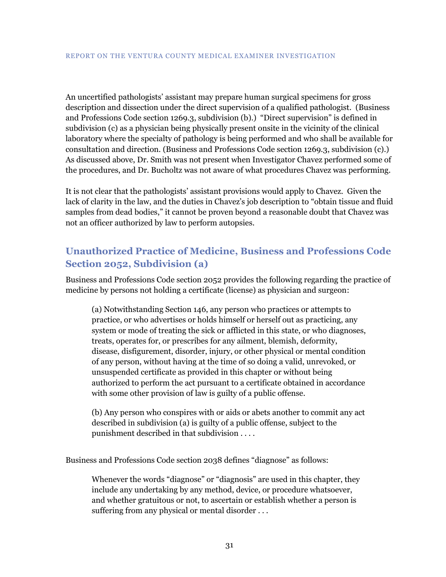An uncertified pathologists' assistant may prepare human surgical specimens for gross description and dissection under the direct supervision of a qualified pathologist. (Business and Professions Code section 1269.3, subdivision (b).) "Direct supervision" is defined in subdivision (c) as a physician being physically present onsite in the vicinity of the clinical laboratory where the specialty of pathology is being performed and who shall be available for consultation and direction. (Business and Professions Code section 1269.3, subdivision (c).) As discussed above, Dr. Smith was not present when Investigator Chavez performed some of the procedures, and Dr. Bucholtz was not aware of what procedures Chavez was performing.

It is not clear that the pathologists' assistant provisions would apply to Chavez. Given the lack of clarity in the law, and the duties in Chavez's job description to "obtain tissue and fluid samples from dead bodies," it cannot be proven beyond a reasonable doubt that Chavez was not an officer authorized by law to perform autopsies.

# <span id="page-34-0"></span>**Unauthorized Practice of Medicine, Business and Professions Code Section 2052, Subdivision (a)**

Business and Professions Code section 2052 provides the following regarding the practice of medicine by persons not holding a certificate (license) as physician and surgeon:

(a) Notwithstanding Section 146, any person who practices or attempts to practice, or who advertises or holds himself or herself out as practicing, any system or mode of treating the sick or afflicted in this state, or who diagnoses, treats, operates for, or prescribes for any ailment, blemish, deformity, disease, disfigurement, disorder, injury, or other physical or mental condition of any person, without having at the time of so doing a valid, unrevoked, or unsuspended certificate as provided in this chapter or without being authorized to perform the act pursuant to a certificate obtained in accordance with some other provision of law is guilty of a public offense.

(b) Any person who conspires with or aids or abets another to commit any act described in subdivision (a) is guilty of a public offense, subject to the punishment described in that subdivision . . . .

Business and Professions Code section 2038 defines "diagnose" as follows:

Whenever the words "diagnose" or "diagnosis" are used in this chapter, they include any undertaking by any method, device, or procedure whatsoever, and whether gratuitous or not, to ascertain or establish whether a person is suffering from any physical or mental disorder . . .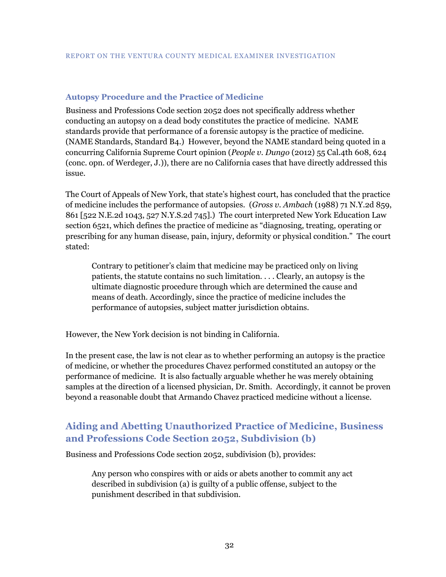#### <span id="page-35-0"></span>**Autopsy Procedure and the Practice of Medicine**

Business and Professions Code section 2052 does not specifically address whether conducting an autopsy on a dead body constitutes the practice of medicine. NAME standards provide that performance of a forensic autopsy is the practice of medicine. (NAME Standards, Standard B4.) However, beyond the NAME standard being quoted in a concurring California Supreme Court opinion (*People v. Dungo* (2012) 55 Cal.4th 608, 624 (conc. opn. of Werdeger, J.)), there are no California cases that have directly addressed this issue.

The Court of Appeals of New York, that state's highest court, has concluded that the practice of medicine includes the performance of autopsies. (*Gross v. Ambach* (1988) 71 N.Y.2d 859, 861 [522 N.E.2d 1043, 527 N.Y.S.2d 745].) The court interpreted New York Education Law section 6521, which defines the practice of medicine as "diagnosing, treating, operating or prescribing for any human disease, pain, injury, deformity or physical condition." The court stated:

Contrary to petitioner's claim that medicine may be practiced only on living patients, the statute contains no such limitation. . . . Clearly, an autopsy is the ultimate diagnostic procedure through which are determined the cause and means of death. Accordingly, since the practice of medicine includes the performance of autopsies, subject matter jurisdiction obtains.

However, the New York decision is not binding in California.

In the present case, the law is not clear as to whether performing an autopsy is the practice of medicine, or whether the procedures Chavez performed constituted an autopsy or the performance of medicine. It is also factually arguable whether he was merely obtaining samples at the direction of a licensed physician, Dr. Smith. Accordingly, it cannot be proven beyond a reasonable doubt that Armando Chavez practiced medicine without a license.

# <span id="page-35-1"></span>**Aiding and Abetting Unauthorized Practice of Medicine, Business and Professions Code Section 2052, Subdivision (b)**

Business and Professions Code section 2052, subdivision (b), provides:

Any person who conspires with or aids or abets another to commit any act described in subdivision (a) is guilty of a public offense, subject to the punishment described in that subdivision.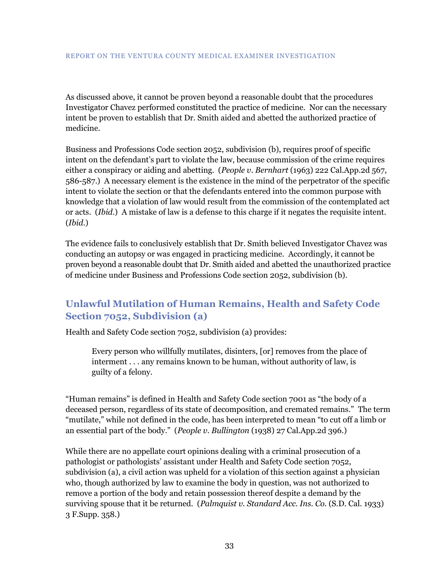As discussed above, it cannot be proven beyond a reasonable doubt that the procedures Investigator Chavez performed constituted the practice of medicine. Nor can the necessary intent be proven to establish that Dr. Smith aided and abetted the authorized practice of medicine.

Business and Professions Code section 2052, subdivision (b), requires proof of specific intent on the defendant's part to violate the law, because commission of the crime requires either a conspiracy or aiding and abetting. (*People v. Bernhart* (1963) 222 Cal.App.2d 567, 586-587.) A necessary element is the existence in the mind of the perpetrator of the specific intent to violate the section or that the defendants entered into the common purpose with knowledge that a violation of law would result from the commission of the contemplated act or acts. (*Ibid.*) A mistake of law is a defense to this charge if it negates the requisite intent. (*Ibid.*)

The evidence fails to conclusively establish that Dr. Smith believed Investigator Chavez was conducting an autopsy or was engaged in practicing medicine. Accordingly, it cannot be proven beyond a reasonable doubt that Dr. Smith aided and abetted the unauthorized practice of medicine under Business and Professions Code section 2052, subdivision (b).

# <span id="page-36-0"></span>**Unlawful Mutilation of Human Remains, Health and Safety Code Section 7052, Subdivision (a)**

Health and Safety Code section 7052, subdivision (a) provides:

Every person who willfully mutilates, disinters, [or] removes from the place of interment . . . any remains known to be human, without authority of law, is guilty of a felony.

"Human remains" is defined in Health and Safety Code section 7001 as "the body of a deceased person, regardless of its state of decomposition, and cremated remains." The term "mutilate," while not defined in the code, has been interpreted to mean "to cut off a limb or an essential part of the body." (*People v. Bullington* (1938) 27 Cal.App.2d 396.)

While there are no appellate court opinions dealing with a criminal prosecution of a pathologist or pathologists' assistant under Health and Safety Code section 7052, subdivision (a), a civil action was upheld for a violation of this section against a physician who, though authorized by law to examine the body in question, was not authorized to remove a portion of the body and retain possession thereof despite a demand by the surviving spouse that it be returned. (*Palmquist v. Standard Acc. Ins. Co.* (S.D. Cal. 1933) 3 F.Supp. 358.)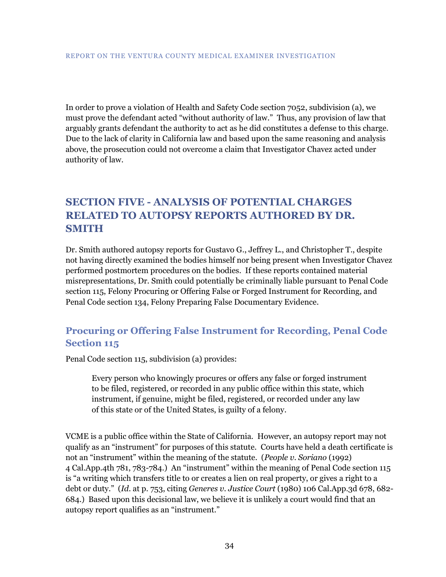In order to prove a violation of Health and Safety Code section 7052, subdivision (a), we must prove the defendant acted "without authority of law." Thus, any provision of law that arguably grants defendant the authority to act as he did constitutes a defense to this charge. Due to the lack of clarity in California law and based upon the same reasoning and analysis above, the prosecution could not overcome a claim that Investigator Chavez acted under authority of law.

# <span id="page-37-0"></span>**SECTION FIVE - ANALYSIS OF POTENTIAL CHARGES RELATED TO AUTOPSY REPORTS AUTHORED BY DR. SMITH**

Dr. Smith authored autopsy reports for Gustavo G., Jeffrey L., and Christopher T., despite not having directly examined the bodies himself nor being present when Investigator Chavez performed postmortem procedures on the bodies. If these reports contained material misrepresentations, Dr. Smith could potentially be criminally liable pursuant to Penal Code section 115, Felony Procuring or Offering False or Forged Instrument for Recording, and Penal Code section 134, Felony Preparing False Documentary Evidence.

# <span id="page-37-1"></span>**Procuring or Offering False Instrument for Recording, Penal Code Section 115**

Penal Code section 115, subdivision (a) provides:

Every person who knowingly procures or offers any false or forged instrument to be filed, registered, or recorded in any public office within this state, which instrument, if genuine, might be filed, registered, or recorded under any law of this state or of the United States, is guilty of a felony.

VCME is a public office within the State of California. However, an autopsy report may not qualify as an "instrument" for purposes of this statute. Courts have held a death certificate is not an "instrument" within the meaning of the statute. (*People v. Soriano* (1992) 4 Cal.App.4th 781, 783-784.) An "instrument" within the meaning of Penal Code section 115 is "a writing which transfers title to or creates a lien on real property, or gives a right to a debt or duty." (*Id*. at p. 753, citing *Generes v. Justice Court* (1980) 106 Cal.App.3d 678, 682- 684.) Based upon this decisional law, we believe it is unlikely a court would find that an autopsy report qualifies as an "instrument."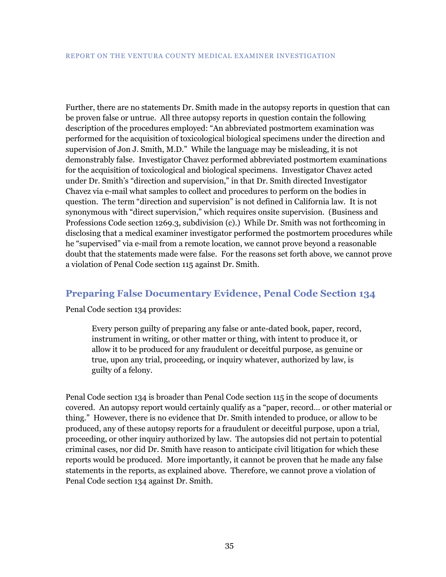Further, there are no statements Dr. Smith made in the autopsy reports in question that can be proven false or untrue. All three autopsy reports in question contain the following description of the procedures employed: "An abbreviated postmortem examination was performed for the acquisition of toxicological biological specimens under the direction and supervision of Jon J. Smith, M.D." While the language may be misleading, it is not demonstrably false. Investigator Chavez performed abbreviated postmortem examinations for the acquisition of toxicological and biological specimens. Investigator Chavez acted under Dr. Smith's "direction and supervision," in that Dr. Smith directed Investigator Chavez via e-mail what samples to collect and procedures to perform on the bodies in question. The term "direction and supervision" is not defined in California law. It is not synonymous with "direct supervision," which requires onsite supervision. (Business and Professions Code section 1269.3, subdivision (c).) While Dr. Smith was not forthcoming in disclosing that a medical examiner investigator performed the postmortem procedures while he "supervised" via e-mail from a remote location, we cannot prove beyond a reasonable doubt that the statements made were false. For the reasons set forth above, we cannot prove a violation of Penal Code section 115 against Dr. Smith.

### <span id="page-38-0"></span>**Preparing False Documentary Evidence, Penal Code Section 134**

Penal Code section 134 provides:

Every person guilty of preparing any false or ante-dated book, paper, record, instrument in writing, or other matter or thing, with intent to produce it, or allow it to be produced for any fraudulent or deceitful purpose, as genuine or true, upon any trial, proceeding, or inquiry whatever, authorized by law, is guilty of a felony.

Penal Code section 134 is broader than Penal Code section 115 in the scope of documents covered. An autopsy report would certainly qualify as a "paper, record… or other material or thing." However, there is no evidence that Dr. Smith intended to produce, or allow to be produced, any of these autopsy reports for a fraudulent or deceitful purpose, upon a trial, proceeding, or other inquiry authorized by law. The autopsies did not pertain to potential criminal cases, nor did Dr. Smith have reason to anticipate civil litigation for which these reports would be produced. More importantly, it cannot be proven that he made any false statements in the reports, as explained above. Therefore, we cannot prove a violation of Penal Code section 134 against Dr. Smith.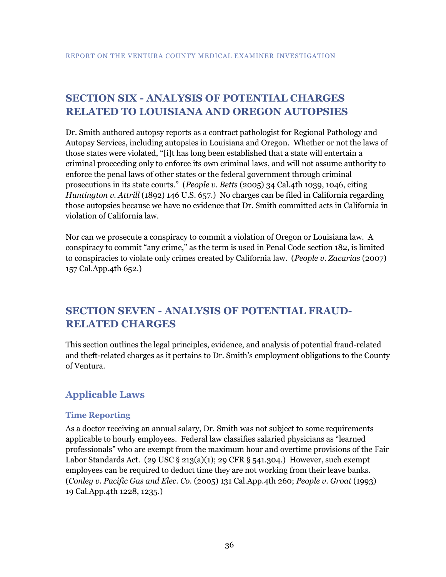# <span id="page-39-0"></span>**SECTION SIX - ANALYSIS OF POTENTIAL CHARGES RELATED TO LOUISIANA AND OREGON AUTOPSIES**

Dr. Smith authored autopsy reports as a contract pathologist for Regional Pathology and Autopsy Services, including autopsies in Louisiana and Oregon. Whether or not the laws of those states were violated, "[i]t has long been established that a state will entertain a criminal proceeding only to enforce its own criminal laws, and will not assume authority to enforce the penal laws of other states or the federal government through criminal prosecutions in its state courts." (*People v. Betts* (2005) 34 Cal.4th 1039, 1046, citing *Huntington v. Attrill* (1892) 146 U.S. 657.) No charges can be filed in California regarding those autopsies because we have no evidence that Dr. Smith committed acts in California in violation of California law.

Nor can we prosecute a conspiracy to commit a violation of Oregon or Louisiana law. A conspiracy to commit "any crime," as the term is used in Penal Code section 182, is limited to conspiracies to violate only crimes created by California law. (*People v. Zacarias* (2007) 157 Cal.App.4th 652.)

# <span id="page-39-1"></span>**SECTION SEVEN - ANALYSIS OF POTENTIAL FRAUD-RELATED CHARGES**

This section outlines the legal principles, evidence, and analysis of potential fraud-related and theft-related charges as it pertains to Dr. Smith's employment obligations to the County of Ventura.

# <span id="page-39-2"></span>**Applicable Laws**

#### <span id="page-39-3"></span>**Time Reporting**

As a doctor receiving an annual salary, Dr. Smith was not subject to some requirements applicable to hourly employees. Federal law classifies salaried physicians as "learned professionals" who are exempt from the maximum hour and overtime provisions of the Fair Labor Standards Act. (29 USC § 213(a)(1); 29 CFR § 541.304.) However, such exempt employees can be required to deduct time they are not working from their leave banks. (*Conley v. Pacific Gas and Elec. Co.* (2005) 131 Cal.App.4th 260; *People v. Groat* (1993) 19 Cal.App.4th 1228, 1235.)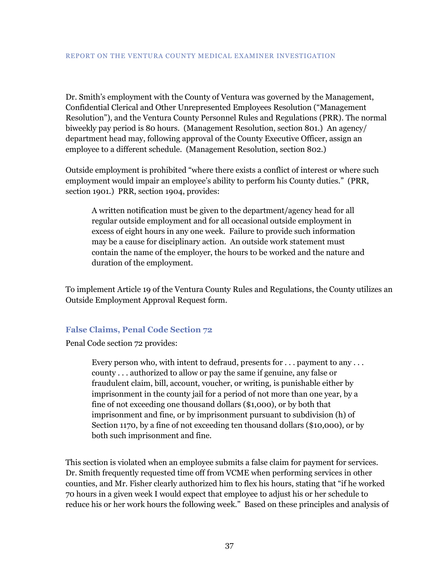Dr. Smith's employment with the County of Ventura was governed by the Management, Confidential Clerical and Other Unrepresented Employees Resolution ("Management Resolution"), and the Ventura County Personnel Rules and Regulations (PRR). The normal biweekly pay period is 80 hours. (Management Resolution, section 801.) An agency/ department head may, following approval of the County Executive Officer, assign an employee to a different schedule. (Management Resolution, section 802.)

Outside employment is prohibited "where there exists a conflict of interest or where such employment would impair an employee's ability to perform his County duties." (PRR, section 1901.) PRR, section 1904, provides:

A written notification must be given to the department/agency head for all regular outside employment and for all occasional outside employment in excess of eight hours in any one week. Failure to provide such information may be a cause for disciplinary action. An outside work statement must contain the name of the employer, the hours to be worked and the nature and duration of the employment.

To implement Article 19 of the Ventura County Rules and Regulations, the County utilizes an Outside Employment Approval Request form.

#### <span id="page-40-0"></span>**False Claims, Penal Code Section 72**

Penal Code section 72 provides:

Every person who, with intent to defraud, presents for . . . payment to any . . . county . . . authorized to allow or pay the same if genuine, any false or fraudulent claim, bill, account, voucher, or writing, is punishable either by imprisonment in the county jail for a period of not more than one year, by a fine of not exceeding one thousand dollars (\$1,000), or by both that imprisonment and fine, or by imprisonment pursuant to subdivision (h) of Section 1170, by a fine of not exceeding ten thousand dollars (\$10,000), or by both such imprisonment and fine.

This section is violated when an employee submits a false claim for payment for services. Dr. Smith frequently requested time off from VCME when performing services in other counties, and Mr. Fisher clearly authorized him to flex his hours, stating that "if he worked 70 hours in a given week I would expect that employee to adjust his or her schedule to reduce his or her work hours the following week." Based on these principles and analysis of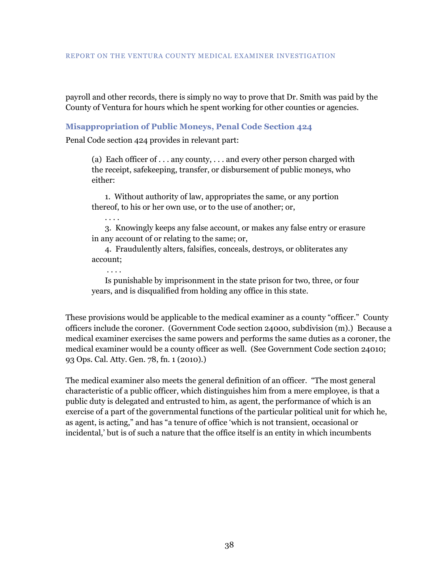#### REPORT ON THE VENTURA COUNTY MEDICAL EXAMINER INVESTIGATION

payroll and other records, there is simply no way to prove that Dr. Smith was paid by the County of Ventura for hours which he spent working for other counties or agencies.

#### <span id="page-41-0"></span>**Misappropriation of Public Moneys, Penal Code Section 424**

Penal Code section 424 provides in relevant part:

(a) Each officer of . . . any county, . . . and every other person charged with the receipt, safekeeping, transfer, or disbursement of public moneys, who either:

1. Without authority of law, appropriates the same, or any portion thereof, to his or her own use, or to the use of another; or,

. . . . 3. Knowingly keeps any false account, or makes any false entry or erasure in any account of or relating to the same; or,

4. Fraudulently alters, falsifies, conceals, destroys, or obliterates any account;

. . . .

Is punishable by imprisonment in the state prison for two, three, or four years, and is disqualified from holding any office in this state.

These provisions would be applicable to the medical examiner as a county "officer." County officers include the coroner. (Government Code section 24000, subdivision (m).) Because a medical examiner exercises the same powers and performs the same duties as a coroner, the medical examiner would be a county officer as well. (See Government Code section 24010; 93 Ops. Cal. Atty. Gen. 78, fn. 1 (2010).)

The medical examiner also meets the general definition of an officer. "The most general characteristic of a public officer, which distinguishes him from a mere employee, is that a public duty is delegated and entrusted to him, as agent, the performance of which is an exercise of a part of the governmental functions of the particular political unit for which he, as agent, is acting," and has "a tenure of office 'which is not transient, occasional or incidental,' but is of such a nature that the office itself is an entity in which incumbents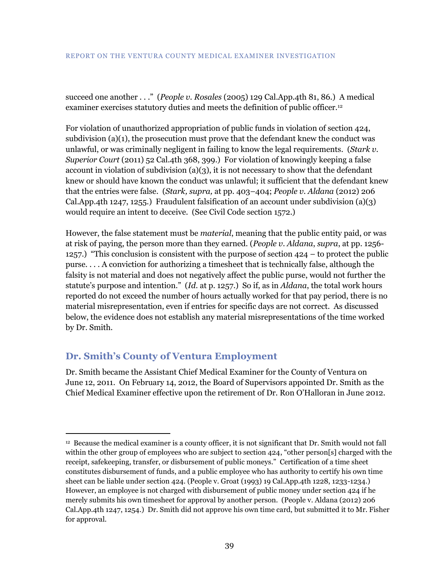succeed one another . . ." (*People v. Rosales* (2005) 129 Cal.App.4th 81, 86.) A medical examiner exercises statutory duties and meets the definition of public officer.<sup>12</sup>

For violation of unauthorized appropriation of public funds in violation of section 424, subdivision  $(a)(1)$ , the prosecution must prove that the defendant knew the conduct was unlawful, or was criminally negligent in failing to know the legal requirements. (*Stark v. Superior Court* (2011) 52 Cal.4th 368, 399.) For violation of knowingly keeping a false account in violation of subdivision  $(a)(3)$ , it is not necessary to show that the defendant knew or should have known the conduct was unlawful; it sufficient that the defendant knew that the entries were false. (*Stark, supra,* at pp. 403–404; *People v. Aldana* (2012) 206 Cal.App.4th 1247, 1255.) Fraudulent falsification of an account under subdivision  $(a)(3)$ would require an intent to deceive. (See Civil Code section 1572.)

However, the false statement must be *material*, meaning that the public entity paid, or was at risk of paying, the person more than they earned. (*People v. Aldana*, *supra*, at pp. 1256- 1257.) "This conclusion is consistent with the purpose of section 424 – to protect the public purse. . . . A conviction for authorizing a timesheet that is technically false, although the falsity is not material and does not negatively affect the public purse, would not further the statute's purpose and intention." (*Id*. at p. 1257.) So if, as in *Aldana*, the total work hours reported do not exceed the number of hours actually worked for that pay period, there is no material misrepresentation, even if entries for specific days are not correct. As discussed below, the evidence does not establish any material misrepresentations of the time worked by Dr. Smith.

# <span id="page-42-0"></span>**Dr. Smith's County of Ventura Employment**

 $\overline{a}$ 

Dr. Smith became the Assistant Chief Medical Examiner for the County of Ventura on June 12, 2011. On February 14, 2012, the Board of Supervisors appointed Dr. Smith as the Chief Medical Examiner effective upon the retirement of Dr. Ron O'Halloran in June 2012.

<sup>12</sup> Because the medical examiner is a county officer, it is not significant that Dr. Smith would not fall within the other group of employees who are subject to section 424, "other person[s] charged with the receipt, safekeeping, transfer, or disbursement of public moneys." Certification of a time sheet constitutes disbursement of funds, and a public employee who has authority to certify his own time sheet can be liable under section 424. (People v. Groat (1993) 19 Cal.App.4th 1228, 1233-1234.) However, an employee is not charged with disbursement of public money under section 424 if he merely submits his own timesheet for approval by another person. (People v. Aldana (2012) 206 Cal.App.4th 1247, 1254.) Dr. Smith did not approve his own time card, but submitted it to Mr. Fisher for approval.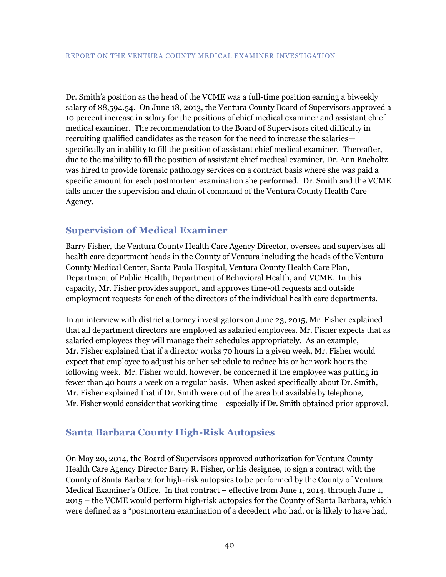Dr. Smith's position as the head of the VCME was a full-time position earning a biweekly salary of \$8,594.54. On June 18, 2013, the Ventura County Board of Supervisors approved a 10 percent increase in salary for the positions of chief medical examiner and assistant chief medical examiner. The recommendation to the Board of Supervisors cited difficulty in recruiting qualified candidates as the reason for the need to increase the salaries specifically an inability to fill the position of assistant chief medical examiner. Thereafter, due to the inability to fill the position of assistant chief medical examiner, Dr. Ann Bucholtz was hired to provide forensic pathology services on a contract basis where she was paid a specific amount for each postmortem examination she performed. Dr. Smith and the VCME falls under the supervision and chain of command of the Ventura County Health Care Agency.

### <span id="page-43-0"></span>**Supervision of Medical Examiner**

Barry Fisher, the Ventura County Health Care Agency Director, oversees and supervises all health care department heads in the County of Ventura including the heads of the Ventura County Medical Center, Santa Paula Hospital, Ventura County Health Care Plan, Department of Public Health, Department of Behavioral Health, and VCME. In this capacity, Mr. Fisher provides support, and approves time-off requests and outside employment requests for each of the directors of the individual health care departments.

In an interview with district attorney investigators on June 23, 2015, Mr. Fisher explained that all department directors are employed as salaried employees. Mr. Fisher expects that as salaried employees they will manage their schedules appropriately. As an example, Mr. Fisher explained that if a director works 70 hours in a given week, Mr. Fisher would expect that employee to adjust his or her schedule to reduce his or her work hours the following week. Mr. Fisher would, however, be concerned if the employee was putting in fewer than 40 hours a week on a regular basis. When asked specifically about Dr. Smith, Mr. Fisher explained that if Dr. Smith were out of the area but available by telephone, Mr. Fisher would consider that working time – especially if Dr. Smith obtained prior approval.

### <span id="page-43-1"></span>**Santa Barbara County High-Risk Autopsies**

On May 20, 2014, the Board of Supervisors approved authorization for Ventura County Health Care Agency Director Barry R. Fisher, or his designee, to sign a contract with the County of Santa Barbara for high-risk autopsies to be performed by the County of Ventura Medical Examiner's Office. In that contract – effective from June 1, 2014, through June 1, 2015 – the VCME would perform high-risk autopsies for the County of Santa Barbara, which were defined as a "postmortem examination of a decedent who had, or is likely to have had,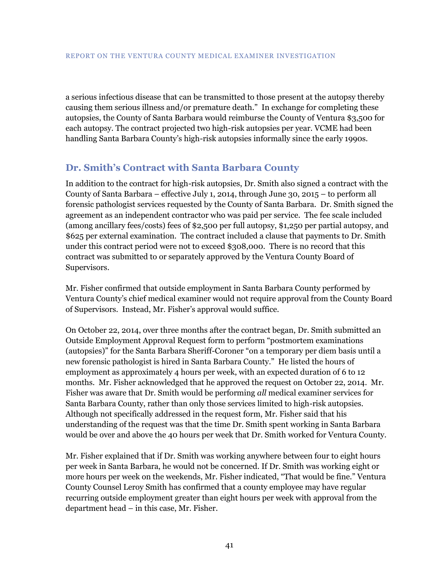a serious infectious disease that can be transmitted to those present at the autopsy thereby causing them serious illness and/or premature death." In exchange for completing these autopsies, the County of Santa Barbara would reimburse the County of Ventura \$3,500 for each autopsy. The contract projected two high-risk autopsies per year. VCME had been handling Santa Barbara County's high-risk autopsies informally since the early 1990s.

### <span id="page-44-0"></span>**Dr. Smith's Contract with Santa Barbara County**

In addition to the contract for high-risk autopsies, Dr. Smith also signed a contract with the County of Santa Barbara – effective July 1, 2014, through June 30, 2015 – to perform all forensic pathologist services requested by the County of Santa Barbara. Dr. Smith signed the agreement as an independent contractor who was paid per service. The fee scale included (among ancillary fees/costs) fees of \$2,500 per full autopsy, \$1,250 per partial autopsy, and \$625 per external examination. The contract included a clause that payments to Dr. Smith under this contract period were not to exceed \$308,000. There is no record that this contract was submitted to or separately approved by the Ventura County Board of Supervisors.

Mr. Fisher confirmed that outside employment in Santa Barbara County performed by Ventura County's chief medical examiner would not require approval from the County Board of Supervisors. Instead, Mr. Fisher's approval would suffice.

On October 22, 2014, over three months after the contract began, Dr. Smith submitted an Outside Employment Approval Request form to perform "postmortem examinations (autopsies)" for the Santa Barbara Sheriff-Coroner "on a temporary per diem basis until a new forensic pathologist is hired in Santa Barbara County." He listed the hours of employment as approximately 4 hours per week, with an expected duration of 6 to 12 months. Mr. Fisher acknowledged that he approved the request on October 22, 2014. Mr. Fisher was aware that Dr. Smith would be performing *all* medical examiner services for Santa Barbara County, rather than only those services limited to high-risk autopsies. Although not specifically addressed in the request form, Mr. Fisher said that his understanding of the request was that the time Dr. Smith spent working in Santa Barbara would be over and above the 40 hours per week that Dr. Smith worked for Ventura County.

Mr. Fisher explained that if Dr. Smith was working anywhere between four to eight hours per week in Santa Barbara, he would not be concerned. If Dr. Smith was working eight or more hours per week on the weekends, Mr. Fisher indicated, "That would be fine." Ventura County Counsel Leroy Smith has confirmed that a county employee may have regular recurring outside employment greater than eight hours per week with approval from the department head – in this case, Mr. Fisher.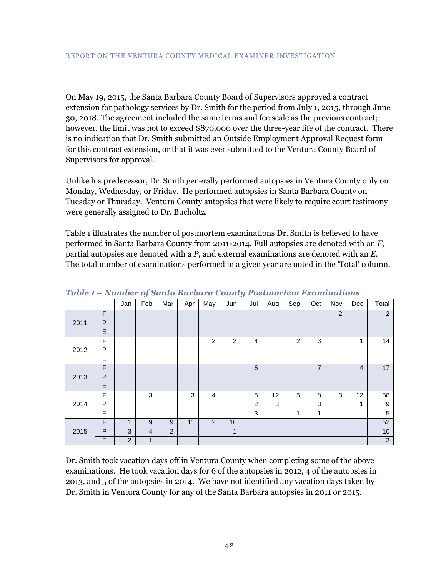On May 19, 2015, the Santa Barbara County Board of Supervisors approved a contract extension for pathology services by Dr. Smith for the period from July 1, 2015, through June 30, 2018. The agreement included the same terms and fee scale as the previous contract; however, the limit was not to exceed \$870,000 over the three-year life of the contract. There is no indication that Dr. Smith submitted an Outside Employment Approval Request form for this contract extension, or that it was ever submitted to the Ventura County Board of Supervisors for approval.

Unlike his predecessor, Dr. Smith generally performed autopsies in Ventura County only on Monday, Wednesday, or Friday. He performed autopsies in Santa Barbara County on Tuesday or Thursday. Ventura County autopsies that were likely to require court testimony were generally assigned to Dr. Bucholtz.

Table 1 illustrates the number of postmortem examinations Dr. Smith is believed to have performed in Santa Barbara County from 2011-2014. Full autopsies are denoted with an *F*, partial autopsies are denoted with a *P*, and external examinations are denoted with an *E*. The total number of examinations performed in a given year are noted in the 'Total' column.

|      |                | Jan            | Feb            | Mar              | Apr | May            | Jun            | $\tilde{\phantom{a}}$<br>Jul | Aug | Sep | Oct            | Nov            | Dec            | Total          |
|------|----------------|----------------|----------------|------------------|-----|----------------|----------------|------------------------------|-----|-----|----------------|----------------|----------------|----------------|
| 2011 | F              |                |                |                  |     |                |                |                              |     |     |                | $\overline{2}$ |                | 2              |
|      | $\mathsf{P}$   |                |                |                  |     |                |                |                              |     |     |                |                |                |                |
|      | E              |                |                |                  |     |                |                |                              |     |     |                |                |                |                |
|      | F              |                |                |                  |     | $\overline{2}$ | $\overline{2}$ | 4                            |     | 2   | 3              |                | 1              | 14             |
| 2012 | P              |                |                |                  |     |                |                |                              |     |     |                |                |                |                |
|      | E              |                |                |                  |     |                |                |                              |     |     |                |                |                |                |
|      | F              |                |                |                  |     |                |                | 6                            |     |     | $\overline{7}$ |                | $\overline{4}$ | 17             |
| 2013 | $\overline{P}$ |                |                |                  |     |                |                |                              |     |     |                |                |                |                |
|      | E              |                |                |                  |     |                |                |                              |     |     |                |                |                |                |
| 2014 | F              |                | 3              |                  | 3   | $\overline{4}$ |                | 8                            | 12  | 5   | 8              | 3              | 12             | 58             |
|      | P              |                |                |                  |     |                |                | $\overline{c}$               | 3   |     | 3              |                | $\mathbf{1}$   | 9              |
|      | E              |                |                |                  |     |                |                | 3                            |     | 1   | 1              |                |                | $\overline{5}$ |
| 2015 | F              | 11             | 9              | $\boldsymbol{9}$ | 11  | $\overline{2}$ | 10             |                              |     |     |                |                |                | 52             |
|      | P              | 3              | $\overline{4}$ | $\overline{2}$   |     |                | $\mathbf{1}$   |                              |     |     |                |                |                | 10             |
|      | E              | $\overline{2}$ | $\mathbf{1}$   |                  |     |                |                |                              |     |     |                |                |                | $\mathbf{3}$   |

*Table 1 – Number of Santa Barbara County Postmortem Examinations*

Dr. Smith took vacation days off in Ventura County when completing some of the above examinations. He took vacation days for 6 of the autopsies in 2012, 4 of the autopsies in 2013, and 5 of the autopsies in 2014. We have not identified any vacation days taken by Dr. Smith in Ventura County for any of the Santa Barbara autopsies in 2011 or 2015.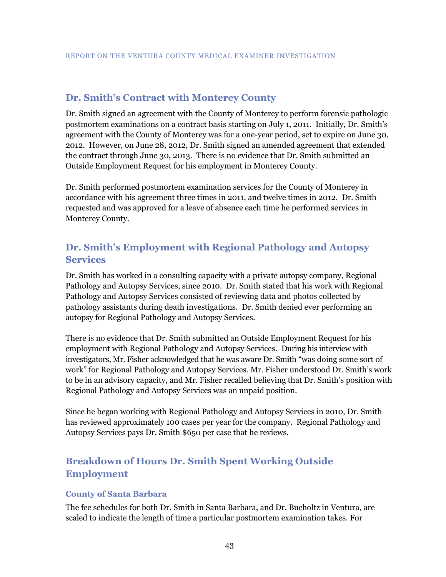### <span id="page-46-0"></span>**Dr. Smith's Contract with Monterey County**

Dr. Smith signed an agreement with the County of Monterey to perform forensic pathologic postmortem examinations on a contract basis starting on July 1, 2011. Initially, Dr. Smith's agreement with the County of Monterey was for a one-year period, set to expire on June 30, 2012. However, on June 28, 2012, Dr. Smith signed an amended agreement that extended the contract through June 30, 2013. There is no evidence that Dr. Smith submitted an Outside Employment Request for his employment in Monterey County.

Dr. Smith performed postmortem examination services for the County of Monterey in accordance with his agreement three times in 2011, and twelve times in 2012. Dr. Smith requested and was approved for a leave of absence each time he performed services in Monterey County.

# <span id="page-46-1"></span>**Dr. Smith's Employment with Regional Pathology and Autopsy Services**

Dr. Smith has worked in a consulting capacity with a private autopsy company, Regional Pathology and Autopsy Services, since 2010. Dr. Smith stated that his work with Regional Pathology and Autopsy Services consisted of reviewing data and photos collected by pathology assistants during death investigations. Dr. Smith denied ever performing an autopsy for Regional Pathology and Autopsy Services.

There is no evidence that Dr. Smith submitted an Outside Employment Request for his employment with Regional Pathology and Autopsy Services. During his interview with investigators, Mr. Fisher acknowledged that he was aware Dr. Smith "was doing some sort of work" for Regional Pathology and Autopsy Services. Mr. Fisher understood Dr. Smith's work to be in an advisory capacity, and Mr. Fisher recalled believing that Dr. Smith's position with Regional Pathology and Autopsy Services was an unpaid position.

Since he began working with Regional Pathology and Autopsy Services in 2010, Dr. Smith has reviewed approximately 100 cases per year for the company. Regional Pathology and Autopsy Services pays Dr. Smith \$650 per case that he reviews.

# <span id="page-46-2"></span>**Breakdown of Hours Dr. Smith Spent Working Outside Employment**

#### <span id="page-46-3"></span>**County of Santa Barbara**

The fee schedules for both Dr. Smith in Santa Barbara, and Dr. Bucholtz in Ventura, are scaled to indicate the length of time a particular postmortem examination takes. For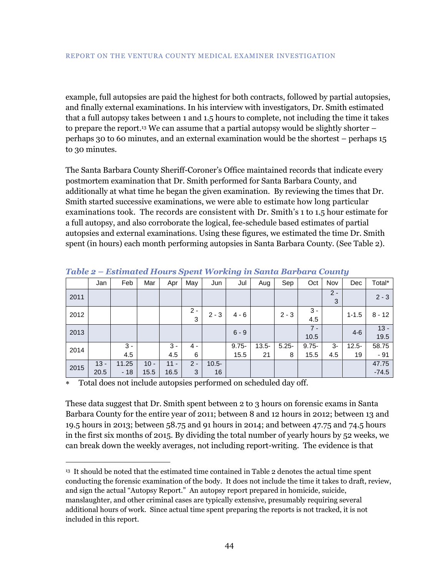example, full autopsies are paid the highest for both contracts, followed by partial autopsies, and finally external examinations. In his interview with investigators, Dr. Smith estimated that a full autopsy takes between 1 and 1.5 hours to complete, not including the time it takes to prepare the report. <sup>13</sup> We can assume that a partial autopsy would be slightly shorter – perhaps 30 to 60 minutes, and an external examination would be the shortest – perhaps 15 to 30 minutes.

The Santa Barbara County Sheriff-Coroner's Office maintained records that indicate every postmortem examination that Dr. Smith performed for Santa Barbara County, and additionally at what time he began the given examination. By reviewing the times that Dr. Smith started successive examinations, we were able to estimate how long particular examinations took. The records are consistent with Dr. Smith's 1 to 1.5 hour estimate for a full autopsy, and also corroborate the logical, fee-schedule based estimates of partial autopsies and external examinations. Using these figures, we estimated the time Dr. Smith spent (in hours) each month performing autopsies in Santa Barbara County. (See Table 2).

|      | Jan    | Feb   | Mar    | Apr    | May        | Jun      | Jul      | Aug      | Sep      | Oct           | Nov        | Dec       | Total*         |
|------|--------|-------|--------|--------|------------|----------|----------|----------|----------|---------------|------------|-----------|----------------|
| 2011 |        |       |        |        |            |          |          |          |          |               | $2 -$<br>3 |           | $2 - 3$        |
| 2012 |        |       |        |        | $2 -$<br>3 | $2 - 3$  | $4 - 6$  |          | $2 - 3$  | $3 -$<br>4.5  |            | $1 - 1.5$ | $8 - 12$       |
| 2013 |        |       |        |        |            |          | $6 - 9$  |          |          | $7 -$<br>10.5 |            | $4-6$     | $13 -$<br>19.5 |
| 2014 |        | $3 -$ |        | $3 -$  | 4 -        |          | $9.75 -$ | $13.5 -$ | $5.25 -$ | $9.75 -$      | 3-         | $12.5 -$  | 58.75          |
|      |        | 4.5   |        | 4.5    | 6          |          | 15.5     | 21       | 8        | 15.5          | 4.5        | 19        | $-91$          |
| 2015 | $13 -$ | 11.25 | $10 -$ | $11 -$ | $2 -$      | $10.5 -$ |          |          |          |               |            |           | 47.75          |
|      | 20.5   | $-18$ | 15.5   | 16.5   | 3          | 16       |          |          |          |               |            |           | $-74.5$        |

*Table 2 – Estimated Hours Spent Working in Santa Barbara County*

Total does not include autopsies performed on scheduled day off.

 $\overline{a}$ 

These data suggest that Dr. Smith spent between 2 to 3 hours on forensic exams in Santa Barbara County for the entire year of 2011; between 8 and 12 hours in 2012; between 13 and 19.5 hours in 2013; between 58.75 and 91 hours in 2014; and between 47.75 and 74.5 hours in the first six months of 2015. By dividing the total number of yearly hours by 52 weeks, we can break down the weekly averages, not including report-writing. The evidence is that

<sup>13</sup> It should be noted that the estimated time contained in Table 2 denotes the actual time spent conducting the forensic examination of the body. It does not include the time it takes to draft, review, and sign the actual "Autopsy Report." An autopsy report prepared in homicide, suicide, manslaughter, and other criminal cases are typically extensive, presumably requiring several additional hours of work. Since actual time spent preparing the reports is not tracked, it is not included in this report.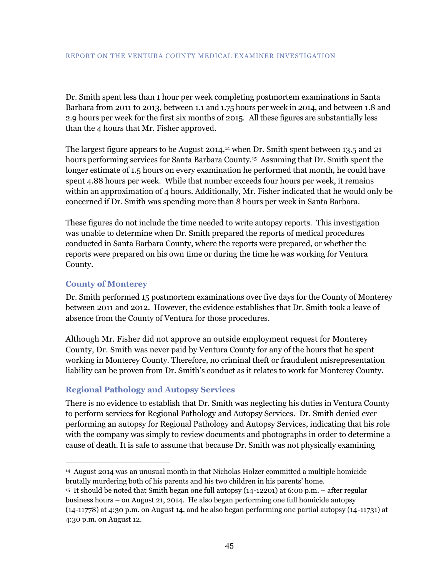Dr. Smith spent less than 1 hour per week completing postmortem examinations in Santa Barbara from 2011 to 2013, between 1.1 and 1.75 hours per week in 2014, and between 1.8 and 2.9 hours per week for the first six months of 2015. All these figures are substantially less than the 4 hours that Mr. Fisher approved.

The largest figure appears to be August 2014, <sup>14</sup> when Dr. Smith spent between 13.5 and 21 hours performing services for Santa Barbara County.<sup>15</sup> Assuming that Dr. Smith spent the longer estimate of 1.5 hours on every examination he performed that month, he could have spent 4.88 hours per week. While that number exceeds four hours per week, it remains within an approximation of 4 hours. Additionally, Mr. Fisher indicated that he would only be concerned if Dr. Smith was spending more than 8 hours per week in Santa Barbara.

These figures do not include the time needed to write autopsy reports. This investigation was unable to determine when Dr. Smith prepared the reports of medical procedures conducted in Santa Barbara County, where the reports were prepared, or whether the reports were prepared on his own time or during the time he was working for Ventura County.

#### <span id="page-48-0"></span>**County of Monterey**

 $\overline{a}$ 

Dr. Smith performed 15 postmortem examinations over five days for the County of Monterey between 2011 and 2012. However, the evidence establishes that Dr. Smith took a leave of absence from the County of Ventura for those procedures.

Although Mr. Fisher did not approve an outside employment request for Monterey County, Dr. Smith was never paid by Ventura County for any of the hours that he spent working in Monterey County. Therefore, no criminal theft or fraudulent misrepresentation liability can be proven from Dr. Smith's conduct as it relates to work for Monterey County.

#### <span id="page-48-1"></span>**Regional Pathology and Autopsy Services**

There is no evidence to establish that Dr. Smith was neglecting his duties in Ventura County to perform services for Regional Pathology and Autopsy Services. Dr. Smith denied ever performing an autopsy for Regional Pathology and Autopsy Services, indicating that his role with the company was simply to review documents and photographs in order to determine a cause of death. It is safe to assume that because Dr. Smith was not physically examining

<sup>14</sup> August 2014 was an unusual month in that Nicholas Holzer committed a multiple homicide brutally murdering both of his parents and his two children in his parents' home.

<sup>15</sup> It should be noted that Smith began one full autopsy (14-12201) at 6:00 p.m. – after regular business hours – on August 21, 2014. He also began performing one full homicide autopsy (14-11778) at 4:30 p.m. on August 14, and he also began performing one partial autopsy (14-11731) at 4:30 p.m. on August 12.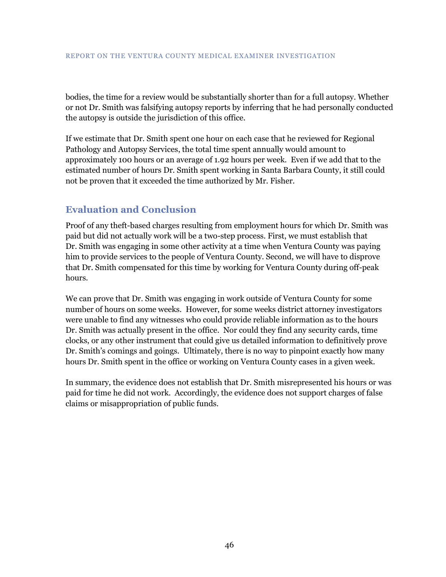bodies, the time for a review would be substantially shorter than for a full autopsy. Whether or not Dr. Smith was falsifying autopsy reports by inferring that he had personally conducted the autopsy is outside the jurisdiction of this office.

If we estimate that Dr. Smith spent one hour on each case that he reviewed for Regional Pathology and Autopsy Services, the total time spent annually would amount to approximately 100 hours or an average of 1.92 hours per week. Even if we add that to the estimated number of hours Dr. Smith spent working in Santa Barbara County, it still could not be proven that it exceeded the time authorized by Mr. Fisher.

# <span id="page-49-0"></span>**Evaluation and Conclusion**

Proof of any theft-based charges resulting from employment hours for which Dr. Smith was paid but did not actually work will be a two-step process. First, we must establish that Dr. Smith was engaging in some other activity at a time when Ventura County was paying him to provide services to the people of Ventura County. Second, we will have to disprove that Dr. Smith compensated for this time by working for Ventura County during off-peak hours.

We can prove that Dr. Smith was engaging in work outside of Ventura County for some number of hours on some weeks. However, for some weeks district attorney investigators were unable to find any witnesses who could provide reliable information as to the hours Dr. Smith was actually present in the office. Nor could they find any security cards, time clocks, or any other instrument that could give us detailed information to definitively prove Dr. Smith's comings and goings. Ultimately, there is no way to pinpoint exactly how many hours Dr. Smith spent in the office or working on Ventura County cases in a given week.

In summary, the evidence does not establish that Dr. Smith misrepresented his hours or was paid for time he did not work. Accordingly, the evidence does not support charges of false claims or misappropriation of public funds.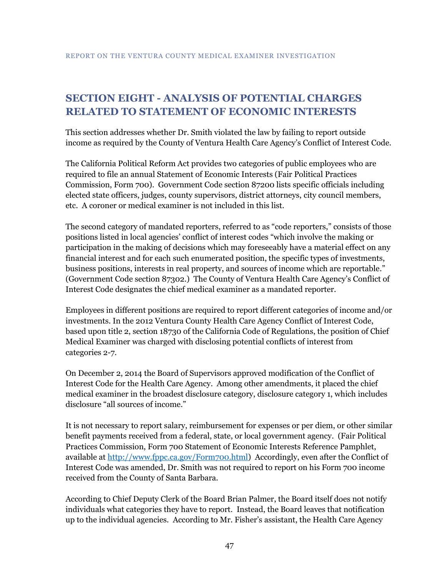# <span id="page-50-0"></span>**SECTION EIGHT - ANALYSIS OF POTENTIAL CHARGES RELATED TO STATEMENT OF ECONOMIC INTERESTS**

This section addresses whether Dr. Smith violated the law by failing to report outside income as required by the County of Ventura Health Care Agency's Conflict of Interest Code.

The California Political Reform Act provides two categories of public employees who are required to file an annual Statement of Economic Interests (Fair Political Practices Commission, Form 700). Government Code section 87200 lists specific officials including elected state officers, judges, county supervisors, district attorneys, city council members, etc. A coroner or medical examiner is not included in this list.

The second category of mandated reporters, referred to as "code reporters," consists of those positions listed in local agencies' conflict of interest codes "which involve the making or participation in the making of decisions which may foreseeably have a material effect on any financial interest and for each such enumerated position, the specific types of investments, business positions, interests in real property, and sources of income which are reportable." (Government Code section 87302.) The County of Ventura Health Care Agency's Conflict of Interest Code designates the chief medical examiner as a mandated reporter.

Employees in different positions are required to report different categories of income and/or investments. In the 2012 Ventura County Health Care Agency Conflict of Interest Code, based upon title 2, section 18730 of the California Code of Regulations, the position of Chief Medical Examiner was charged with disclosing potential conflicts of interest from categories 2-7.

On December 2, 2014 the Board of Supervisors approved modification of the Conflict of Interest Code for the Health Care Agency. Among other amendments, it placed the chief medical examiner in the broadest disclosure category, disclosure category 1, which includes disclosure "all sources of income."

It is not necessary to report salary, reimbursement for expenses or per diem, or other similar benefit payments received from a federal, state, or local government agency. (Fair Political Practices Commission, Form 700 Statement of Economic Interests Reference Pamphlet, available a[t http://www.fppc.ca.gov/Form700.html\)](http://www.fppc.ca.gov/Form700.html) Accordingly, even after the Conflict of Interest Code was amended, Dr. Smith was not required to report on his Form 700 income received from the County of Santa Barbara.

According to Chief Deputy Clerk of the Board Brian Palmer, the Board itself does not notify individuals what categories they have to report. Instead, the Board leaves that notification up to the individual agencies. According to Mr. Fisher's assistant, the Health Care Agency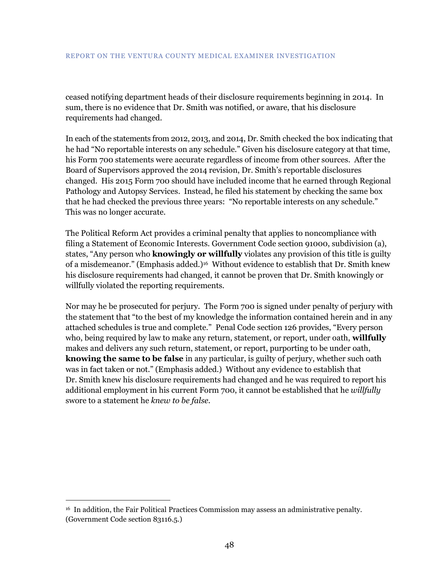ceased notifying department heads of their disclosure requirements beginning in 2014. In sum, there is no evidence that Dr. Smith was notified, or aware, that his disclosure requirements had changed.

In each of the statements from 2012, 2013, and 2014, Dr. Smith checked the box indicating that he had "No reportable interests on any schedule." Given his disclosure category at that time, his Form 700 statements were accurate regardless of income from other sources. After the Board of Supervisors approved the 2014 revision, Dr. Smith's reportable disclosures changed. His 2015 Form 700 should have included income that he earned through Regional Pathology and Autopsy Services. Instead, he filed his statement by checking the same box that he had checked the previous three years: "No reportable interests on any schedule." This was no longer accurate.

The Political Reform Act provides a criminal penalty that applies to noncompliance with filing a Statement of Economic Interests. Government Code section 91000, subdivision (a), states, "Any person who **knowingly or willfully** violates any provision of this title is guilty of a misdemeanor." (Emphasis added.)<sup>16</sup> Without evidence to establish that Dr. Smith knew his disclosure requirements had changed, it cannot be proven that Dr. Smith knowingly or willfully violated the reporting requirements.

Nor may he be prosecuted for perjury. The Form 700 is signed under penalty of perjury with the statement that "to the best of my knowledge the information contained herein and in any attached schedules is true and complete." Penal Code section 126 provides, "Every person who, being required by law to make any return, statement, or report, under oath, **willfully** makes and delivers any such return, statement, or report, purporting to be under oath, **knowing the same to be false** in any particular, is guilty of perjury, whether such oath was in fact taken or not." (Emphasis added.) Without any evidence to establish that Dr. Smith knew his disclosure requirements had changed and he was required to report his additional employment in his current Form 700, it cannot be established that he *willfully* swore to a statement he *knew to be false*.

 $\overline{a}$ 

<sup>16</sup> In addition, the Fair Political Practices Commission may assess an administrative penalty. (Government Code section 83116.5.)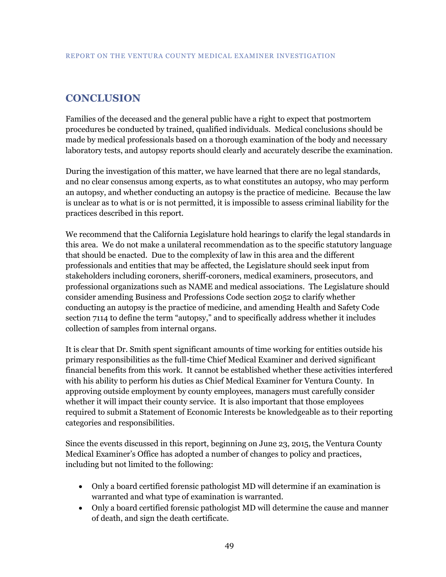# <span id="page-52-0"></span>**CONCLUSION**

Families of the deceased and the general public have a right to expect that postmortem procedures be conducted by trained, qualified individuals. Medical conclusions should be made by medical professionals based on a thorough examination of the body and necessary laboratory tests, and autopsy reports should clearly and accurately describe the examination.

During the investigation of this matter, we have learned that there are no legal standards, and no clear consensus among experts, as to what constitutes an autopsy, who may perform an autopsy, and whether conducting an autopsy is the practice of medicine. Because the law is unclear as to what is or is not permitted, it is impossible to assess criminal liability for the practices described in this report.

We recommend that the California Legislature hold hearings to clarify the legal standards in this area. We do not make a unilateral recommendation as to the specific statutory language that should be enacted. Due to the complexity of law in this area and the different professionals and entities that may be affected, the Legislature should seek input from stakeholders including coroners, sheriff-coroners, medical examiners, prosecutors, and professional organizations such as NAME and medical associations. The Legislature should consider amending Business and Professions Code section 2052 to clarify whether conducting an autopsy is the practice of medicine, and amending Health and Safety Code section 7114 to define the term "autopsy," and to specifically address whether it includes collection of samples from internal organs.

It is clear that Dr. Smith spent significant amounts of time working for entities outside his primary responsibilities as the full-time Chief Medical Examiner and derived significant financial benefits from this work. It cannot be established whether these activities interfered with his ability to perform his duties as Chief Medical Examiner for Ventura County. In approving outside employment by county employees, managers must carefully consider whether it will impact their county service. It is also important that those employees required to submit a Statement of Economic Interests be knowledgeable as to their reporting categories and responsibilities.

Since the events discussed in this report, beginning on June 23, 2015, the Ventura County Medical Examiner's Office has adopted a number of changes to policy and practices, including but not limited to the following:

- Only a board certified forensic pathologist MD will determine if an examination is warranted and what type of examination is warranted.
- Only a board certified forensic pathologist MD will determine the cause and manner of death, and sign the death certificate.